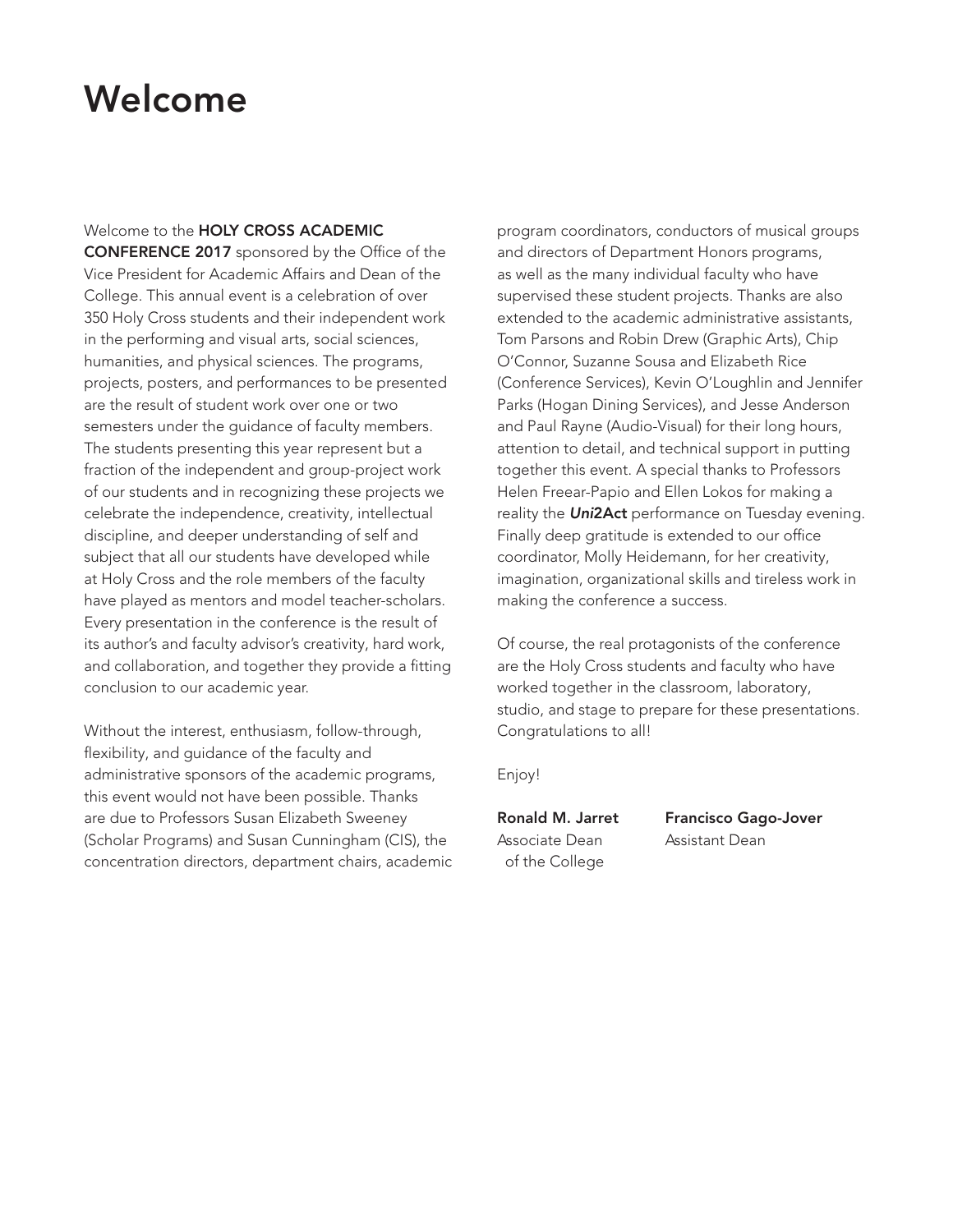# Welcome

## Welcome to the HOLY CROSS ACADEMIC

CONFERENCE 2017 sponsored by the Office of the Vice President for Academic Affairs and Dean of the College. This annual event is a celebration of over 350 Holy Cross students and their independent work in the performing and visual arts, social sciences, humanities, and physical sciences. The programs, projects, posters, and performances to be presented are the result of student work over one or two semesters under the guidance of faculty members. The students presenting this year represent but a fraction of the independent and group-project work of our students and in recognizing these projects we celebrate the independence, creativity, intellectual discipline, and deeper understanding of self and subject that all our students have developed while at Holy Cross and the role members of the faculty have played as mentors and model teacher-scholars. Every presentation in the conference is the result of its author's and faculty advisor's creativity, hard work, and collaboration, and together they provide a fitting conclusion to our academic year.

Without the interest, enthusiasm, follow-through, flexibility, and guidance of the faculty and administrative sponsors of the academic programs, this event would not have been possible. Thanks are due to Professors Susan Elizabeth Sweeney (Scholar Programs) and Susan Cunningham (CIS), the concentration directors, department chairs, academic program coordinators, conductors of musical groups and directors of Department Honors programs, as well as the many individual faculty who have supervised these student projects. Thanks are also extended to the academic administrative assistants, Tom Parsons and Robin Drew (Graphic Arts), Chip O'Connor, Suzanne Sousa and Elizabeth Rice (Conference Services), Kevin O'Loughlin and Jennifer Parks (Hogan Dining Services), and Jesse Anderson and Paul Rayne (Audio-Visual) for their long hours, attention to detail, and technical support in putting together this event. A special thanks to Professors Helen Freear-Papio and Ellen Lokos for making a reality the *Uni*2Act performance on Tuesday evening. Finally deep gratitude is extended to our office coordinator, Molly Heidemann, for her creativity, imagination, organizational skills and tireless work in making the conference a success.

Of course, the real protagonists of the conference are the Holy Cross students and faculty who have worked together in the classroom, laboratory, studio, and stage to prepare for these presentations. Congratulations to all!

Enjoy!

Associate Dean Assistant Dean of the College

Ronald M. Jarret Francisco Gago-Jover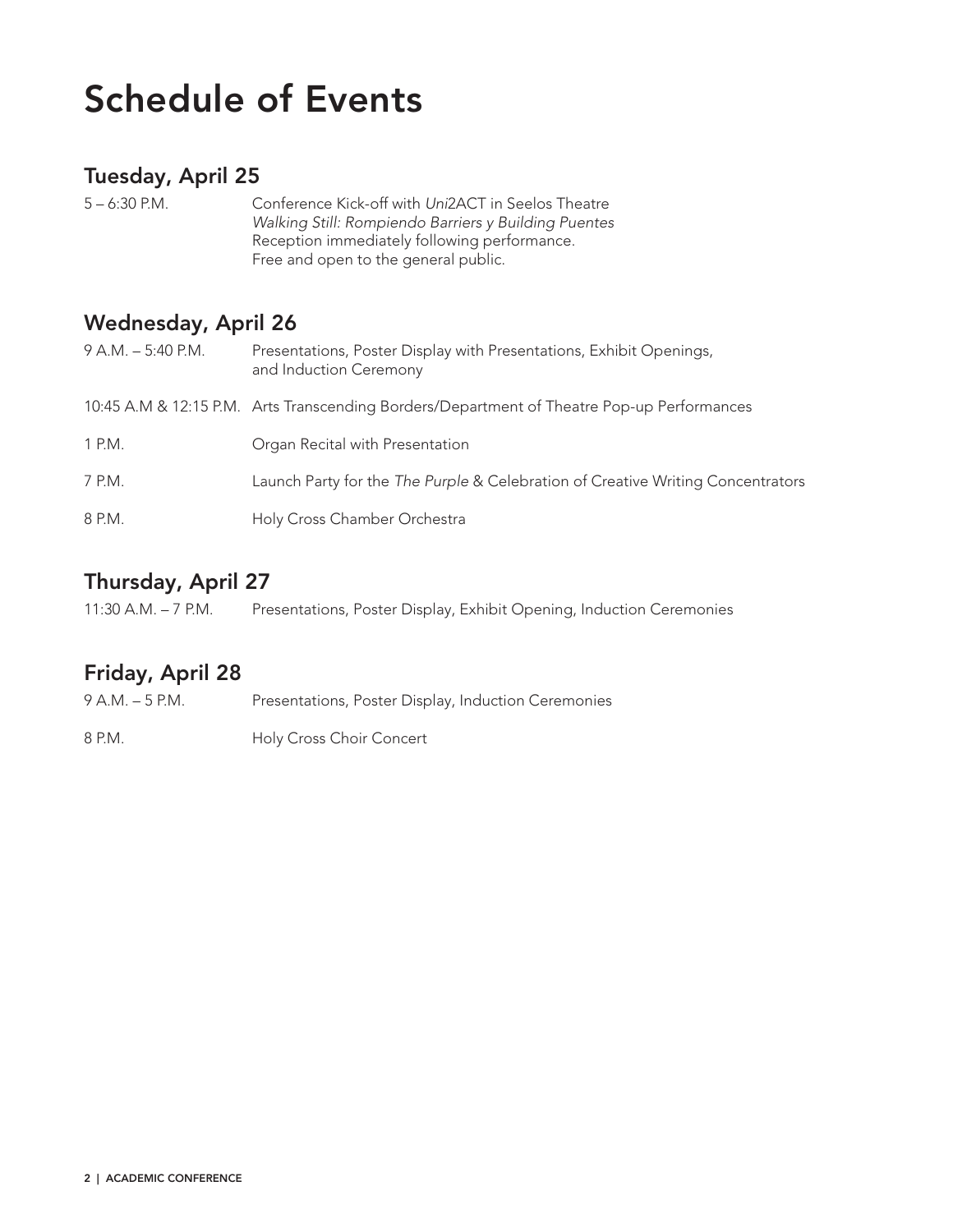# Schedule of Events

# Tuesday, April 25

| $5 - 6:30$ P.M. | Conference Kick-off with Uni2ACT in Seelos Theatre   |
|-----------------|------------------------------------------------------|
|                 | Walking Still: Rompiendo Barriers y Building Puentes |
|                 | Reception immediately following performance.         |
|                 | Free and open to the general public.                 |

# Wednesday, April 26

| $9 A.M. - 5:40 P.M.$ | Presentations, Poster Display with Presentations, Exhibit Openings,<br>and Induction Ceremony |
|----------------------|-----------------------------------------------------------------------------------------------|
|                      | 10:45 A.M & 12:15 P.M. Arts Transcending Borders/Department of Theatre Pop-up Performances    |
| 1 P.M.               | Organ Recital with Presentation                                                               |
| 7 P.M.               | Launch Party for the The Purple & Celebration of Creative Writing Concentrators               |
| 8 P.M.               | Holy Cross Chamber Orchestra                                                                  |

# Thursday, April 27

# Friday, April 28

| $9 A.M. - 5 P.M.$ | Presentations, Poster Display, Induction Ceremonies |
|-------------------|-----------------------------------------------------|
| 8 P.M.            | Holy Cross Choir Concert                            |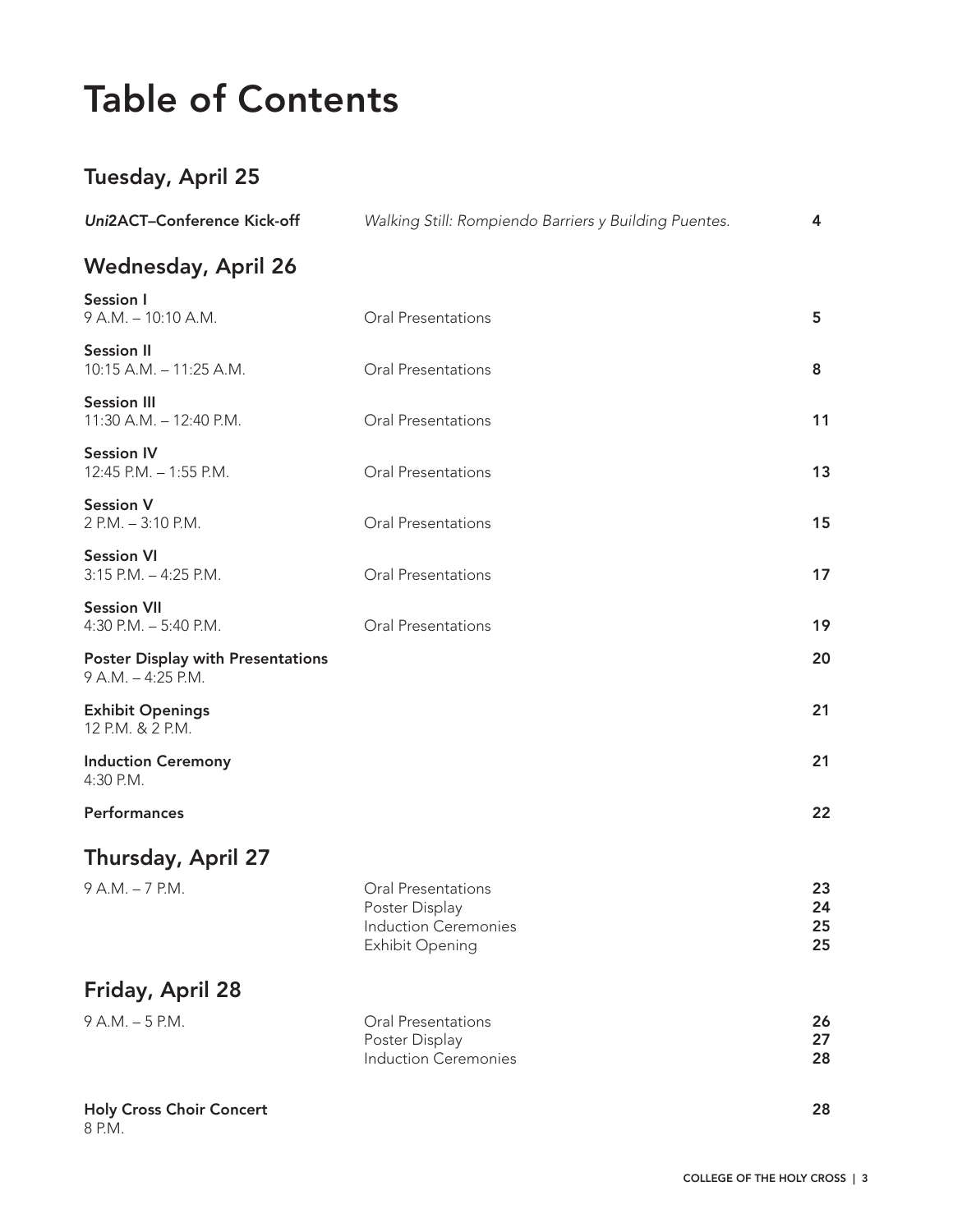# Table of Contents

# Tuesday, April 25

| Uni2ACT-Conference Kick-off                                    | Walking Still: Rompiendo Barriers y Building Puentes.                                  | 4                    |
|----------------------------------------------------------------|----------------------------------------------------------------------------------------|----------------------|
| <b>Wednesday, April 26</b>                                     |                                                                                        |                      |
| <b>Session I</b><br>9 A.M. - 10:10 A.M.                        | Oral Presentations                                                                     | 5                    |
| <b>Session II</b><br>10:15 A.M. - 11:25 A.M.                   | Oral Presentations                                                                     | 8                    |
| <b>Session III</b><br>11:30 A.M. - 12:40 P.M.                  | Oral Presentations                                                                     | 11                   |
| <b>Session IV</b><br>12:45 P.M. - 1:55 P.M.                    | Oral Presentations                                                                     | 13                   |
| <b>Session V</b><br>2 P.M. - 3:10 P.M.                         | Oral Presentations                                                                     | 15                   |
| <b>Session VI</b><br>$3:15$ P.M. $-4:25$ P.M.                  | Oral Presentations                                                                     | 17                   |
| <b>Session VII</b><br>4:30 P.M. $-$ 5:40 P.M.                  | <b>Oral Presentations</b>                                                              | 19                   |
| <b>Poster Display with Presentations</b><br>9 A.M. - 4:25 P.M. |                                                                                        | 20                   |
| <b>Exhibit Openings</b><br>12 P.M. & 2 P.M.                    |                                                                                        | 21                   |
| <b>Induction Ceremony</b><br>4:30 P.M.                         |                                                                                        | 21                   |
| Performances                                                   |                                                                                        | 22                   |
| <b>Thursday, April 27</b>                                      |                                                                                        |                      |
| 9 A.M. - 7 P.M.                                                | Oral Presentations<br>Poster Display<br><b>Induction Ceremonies</b><br>Exhibit Opening | 23<br>24<br>25<br>25 |
| <b>Friday, April 28</b>                                        |                                                                                        |                      |
| 9 A.M. - 5 P.M.                                                | Oral Presentations<br>Poster Display<br><b>Induction Ceremonies</b>                    | 26<br>27<br>28       |
| <b>Holy Cross Choir Concert</b>                                |                                                                                        | 28                   |

8 P.M.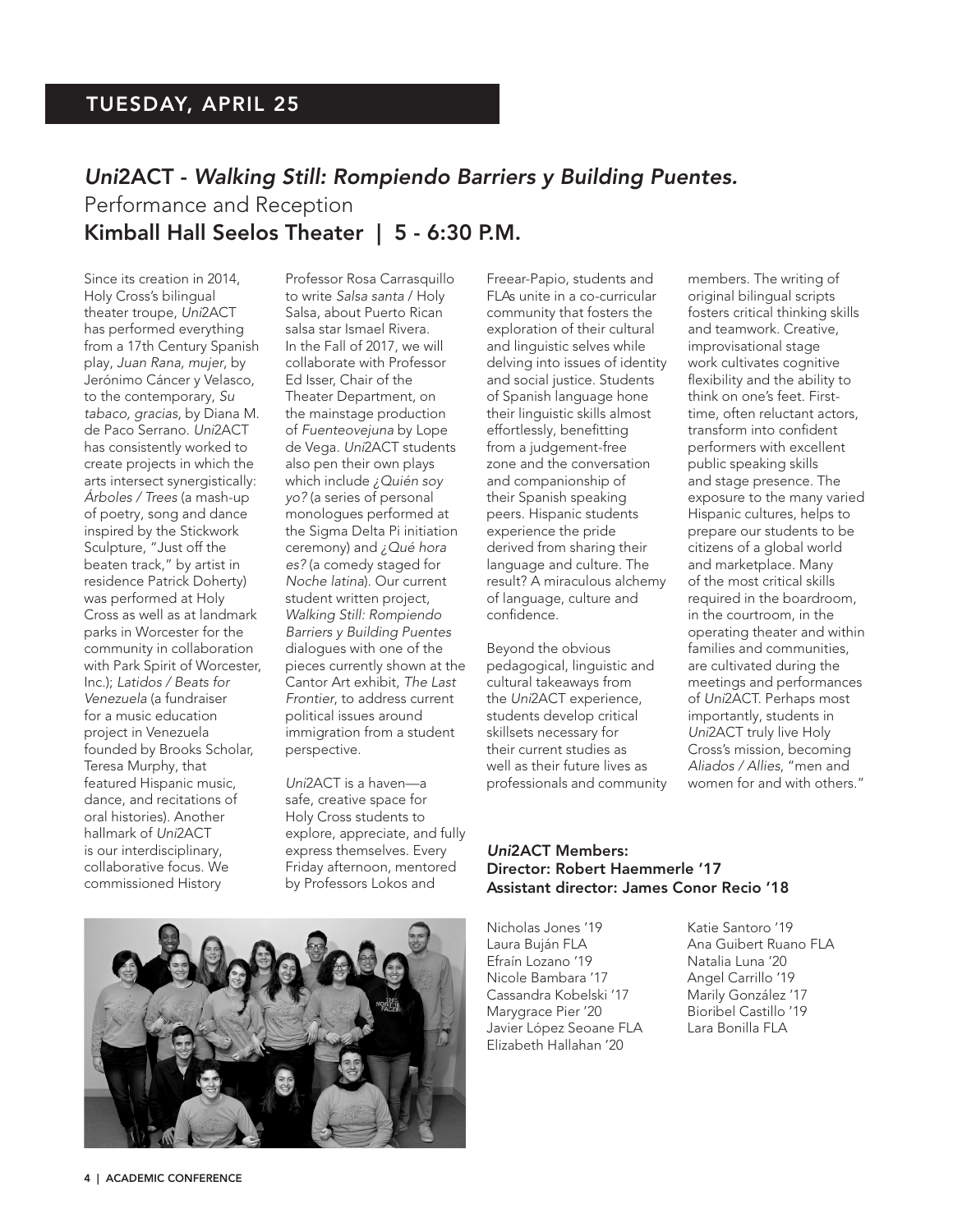# TUESDAY, APRIL 25

# *Uni*2ACT - *Walking Still: Rompiendo Barriers y Building Puentes.* Performance and Reception Kimball Hall Seelos Theater | 5 - 6:30 P.M.

Since its creation in 2014, Holy Cross's bilingual theater troupe, *Uni*2ACT has performed everything from a 17th Century Spanish play, *Juan Rana, mujer*, by Jerónimo Cáncer y Velasco, to the contemporary, *Su tabaco, gracias*, by Diana M. de Paco Serrano. *Uni*2ACT has consistently worked to create projects in which the arts intersect synergistically: *Árboles / Trees* (a mash-up of poetry, song and dance inspired by the Stickwork Sculpture, "Just off the beaten track," by artist in residence Patrick Doherty) was performed at Holy Cross as well as at landmark parks in Worcester for the community in collaboration with Park Spirit of Worcester, Inc.); *Latidos / Beats for Venezuela* (a fundraiser for a music education project in Venezuela founded by Brooks Scholar, Teresa Murphy, that featured Hispanic music, dance, and recitations of oral histories). Another hallmark of *Uni*2ACT is our interdisciplinary, collaborative focus. We commissioned History

Professor Rosa Carrasquillo to write *Salsa santa* / Holy Salsa, about Puerto Rican salsa star Ismael Rivera. In the Fall of 2017, we will collaborate with Professor Ed Isser, Chair of the Theater Department, on the mainstage production of *Fuenteovejuna* by Lope de Vega. *Uni*2ACT students also pen their own plays which include *¿Quién soy yo?* (a series of personal monologues performed at the Sigma Delta Pi initiation ceremony) and *¿Qué hora es?* (a comedy staged for *Noche latina*). Our current student written project, *Walking Still: Rompiendo Barriers y Building Puentes* dialogues with one of the pieces currently shown at the Cantor Art exhibit, *The Last Frontier*, to address current political issues around immigration from a student perspective.

*Uni*2ACT is a haven—a safe, creative space for Holy Cross students to explore, appreciate, and fully express themselves. Every Friday afternoon, mentored by Professors Lokos and

Freear-Papio, students and FLAs unite in a co-curricular community that fosters the exploration of their cultural and linguistic selves while delving into issues of identity and social justice. Students of Spanish language hone their linguistic skills almost effortlessly, benefitting from a judgement-free zone and the conversation and companionship of their Spanish speaking peers. Hispanic students experience the pride derived from sharing their language and culture. The result? A miraculous alchemy of language, culture and confidence.

Beyond the obvious pedagogical, linguistic and cultural takeaways from the *Uni*2ACT experience, students develop critical skillsets necessary for their current studies as well as their future lives as professionals and community members. The writing of original bilingual scripts fosters critical thinking skills and teamwork. Creative, improvisational stage work cultivates cognitive flexibility and the ability to think on one's feet. Firsttime, often reluctant actors, transform into confident performers with excellent public speaking skills and stage presence. The exposure to the many varied Hispanic cultures, helps to prepare our students to be citizens of a global world and marketplace. Many of the most critical skills required in the boardroom, in the courtroom, in the operating theater and within families and communities, are cultivated during the meetings and performances of *Uni*2ACT. Perhaps most importantly, students in *Uni*2ACT truly live Holy Cross's mission, becoming *Aliados / Allies*, "men and women for and with others."

#### *Uni*2ACT Members: Director: Robert Haemmerle '17 Assistant director: James Conor Recio '18

Nicholas Jones '19 Katie Santoro '19 Laura Buján FLA Ana Guibert Ruano FLA Efraín Lozano '19 **Natalia Luna** '20 Nicole Bambara '17 Angel Carrillo '19 Cassandra Kobelski '17 Marily González '17 Marygrace Pier '20 Javier López Seoane FLA Lara Bonilla FLA Elizabeth Hallahan '20

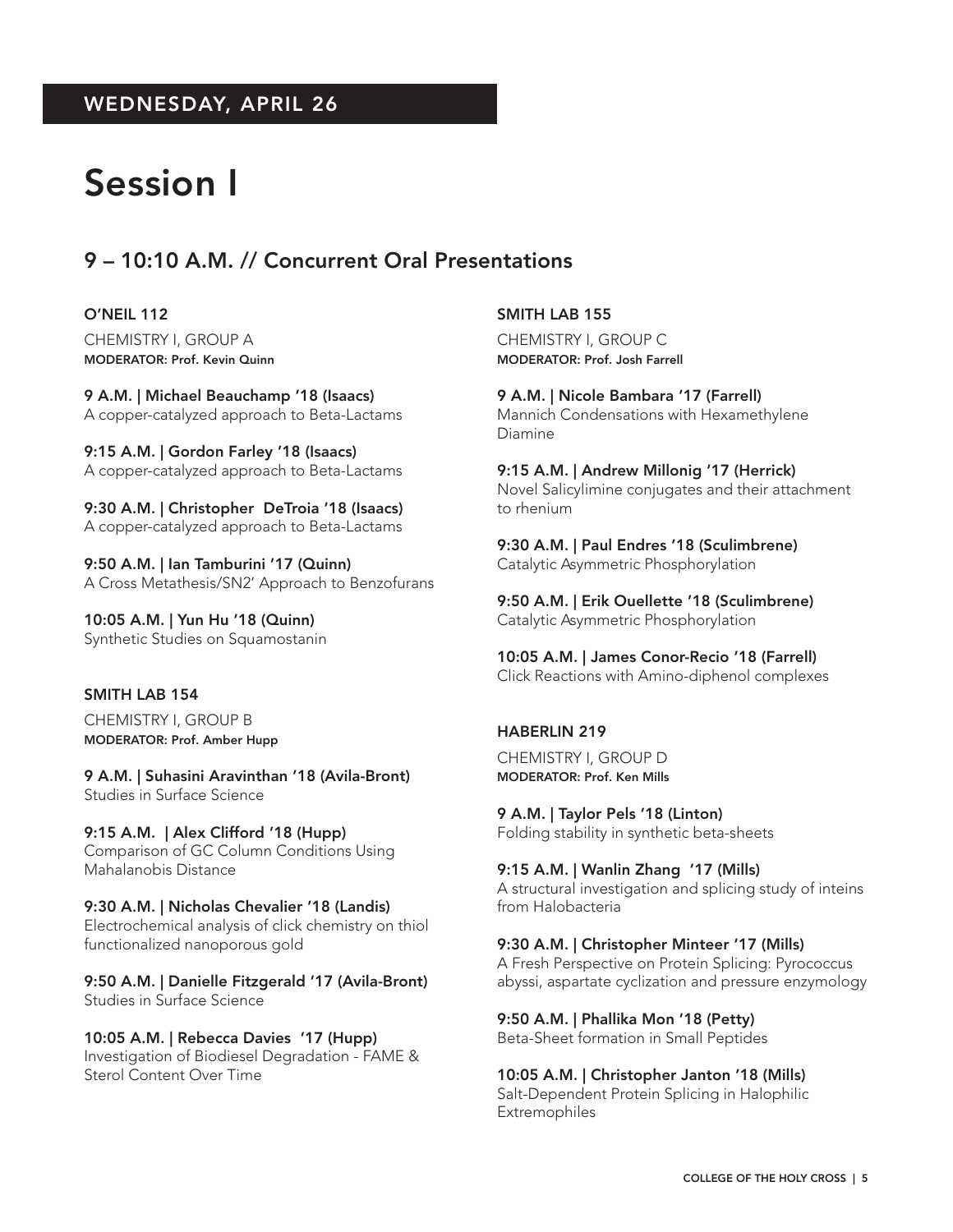# WEDNESDAY, APRIL 26

# Session I

# 9 – 10:10 A.M. // Concurrent Oral Presentations

O'NEIL 112 CHEMISTRY I, GROUP A MODERATOR: Prof. Kevin Quinn

9 A.M. | Michael Beauchamp '18 (Isaacs) A copper-catalyzed approach to Beta-Lactams

9:15 A.M. | Gordon Farley '18 (Isaacs) A copper-catalyzed approach to Beta-Lactams

9:30 A.M. | Christopher DeTroia '18 (Isaacs) A copper-catalyzed approach to Beta-Lactams

9:50 A.M. | Ian Tamburini '17 (Quinn) A Cross Metathesis/SN2' Approach to Benzofurans

10:05 A.M. | Yun Hu '18 (Quinn) Synthetic Studies on Squamostanin

#### SMITH LAB 154

CHEMISTRY I, GROUP B MODERATOR: Prof. Amber Hupp

9 A.M. | Suhasini Aravinthan '18 (Avila-Bront) Studies in Surface Science

9:15 A.M. | Alex Clifford '18 (Hupp) Comparison of GC Column Conditions Using Mahalanobis Distance

9:30 A.M. | Nicholas Chevalier '18 (Landis) Electrochemical analysis of click chemistry on thiol functionalized nanoporous gold

9:50 A.M. | Danielle Fitzgerald '17 (Avila-Bront) Studies in Surface Science

10:05 A.M. | Rebecca Davies '17 (Hupp) Investigation of Biodiesel Degradation - FAME & Sterol Content Over Time

SMITH LAB 155

CHEMISTRY I, GROUP C MODERATOR: Prof. Josh Farrell

9 A.M. | Nicole Bambara '17 (Farrell) Mannich Condensations with Hexamethylene Diamine

9:15 A.M. | Andrew Millonig '17 (Herrick) Novel Salicylimine conjugates and their attachment to rhenium

9:30 A.M. | Paul Endres '18 (Sculimbrene) Catalytic Asymmetric Phosphorylation

9:50 A.M. | Erik Ouellette '18 (Sculimbrene) Catalytic Asymmetric Phosphorylation

10:05 A.M. | James Conor-Recio '18 (Farrell) Click Reactions with Amino-diphenol complexes

#### HABERLIN 219

CHEMISTRY I, GROUP D MODERATOR: Prof. Ken Mills

9 A.M. | Taylor Pels '18 (Linton) Folding stability in synthetic beta-sheets

9:15 A.M. | Wanlin Zhang '17 (Mills) A structural investigation and splicing study of inteins from Halobacteria

9:30 A.M. | Christopher Minteer '17 (Mills) A Fresh Perspective on Protein Splicing: Pyrococcus abyssi, aspartate cyclization and pressure enzymology

9:50 A.M. | Phallika Mon '18 (Petty) Beta-Sheet formation in Small Peptides

10:05 A.M. | Christopher Janton '18 (Mills) Salt-Dependent Protein Splicing in Halophilic Extremophiles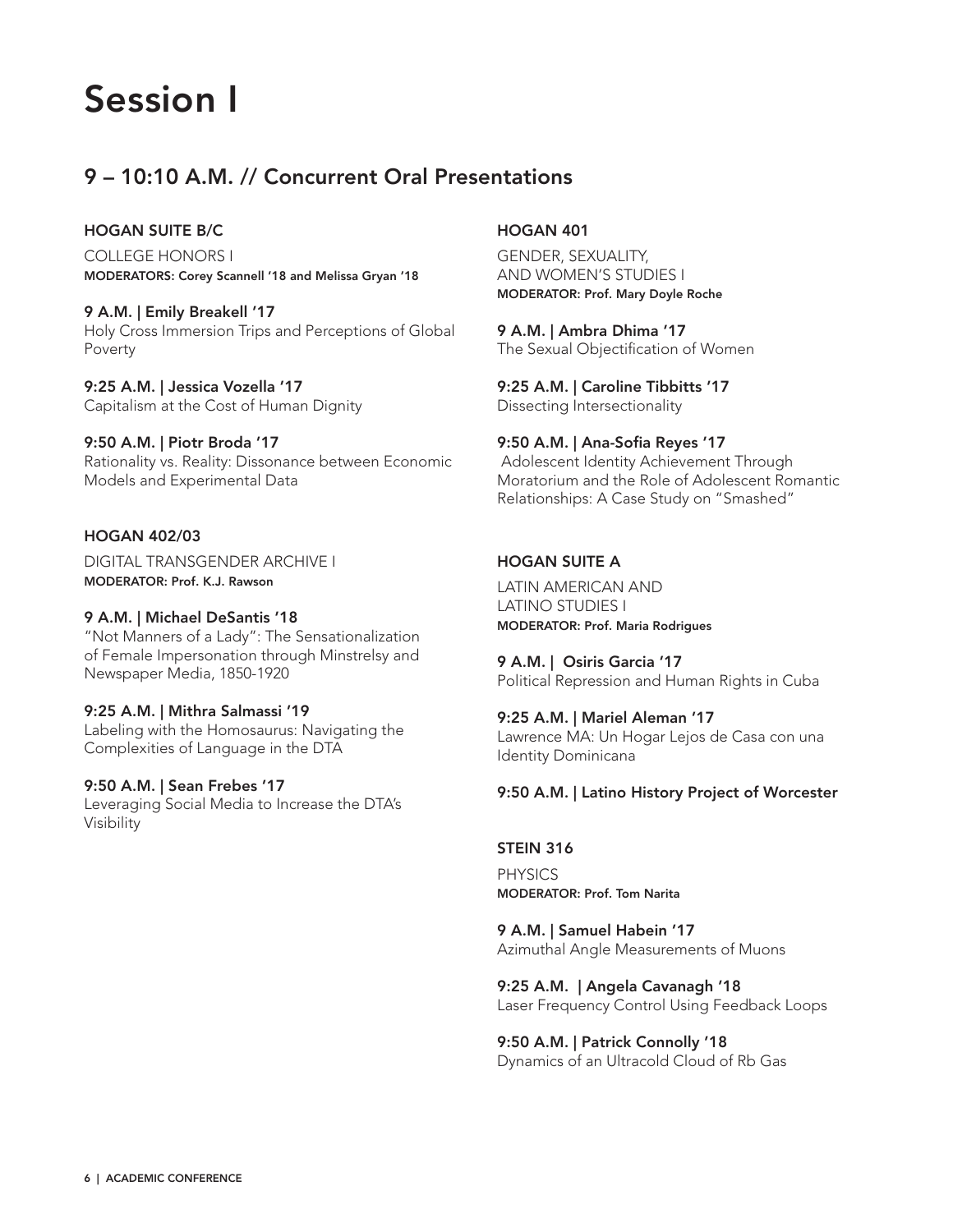# Session I

# 9 – 10:10 A.M. // Concurrent Oral Presentations

## HOGAN SUITE B/C

COLLEGE HONORS I MODERATORS: Corey Scannell '18 and Melissa Gryan '18

9 A.M. | Emily Breakell '17 Holy Cross Immersion Trips and Perceptions of Global Poverty

9:25 A.M. | Jessica Vozella '17 Capitalism at the Cost of Human Dignity

9:50 A.M. | Piotr Broda '17 Rationality vs. Reality: Dissonance between Economic Models and Experimental Data

# HOGAN 402/03

DIGITAL TRANSGENDER ARCHIVE I MODERATOR: Prof. K.J. Rawson

#### 9 A.M. | Michael DeSantis '18

"Not Manners of a Lady": The Sensationalization of Female Impersonation through Minstrelsy and Newspaper Media, 1850-1920

#### 9:25 A.M. | Mithra Salmassi '19

Labeling with the Homosaurus: Navigating the Complexities of Language in the DTA

## 9:50 A.M. | Sean Frebes '17

Leveraging Social Media to Increase the DTA's Visibility

## HOGAN 401

GENDER, SEXUALITY, AND WOMEN'S STUDIES I MODERATOR: Prof. Mary Doyle Roche

9 A.M. | Ambra Dhima '17 The Sexual Objectification of Women

9:25 A.M. | Caroline Tibbitts '17 Dissecting Intersectionality

# 9:50 A.M. | Ana-Sofia Reyes '17

 Adolescent Identity Achievement Through Moratorium and the Role of Adolescent Romantic Relationships: A Case Study on "Smashed"

## HOGAN SUITE A

LATIN AMERICAN AND LATINO STUDIES I MODERATOR: Prof. Maria Rodrigues

9 A.M. | Osiris Garcia '17 Political Repression and Human Rights in Cuba

9:25 A.M. | Mariel Aleman '17 Lawrence MA: Un Hogar Lejos de Casa con una Identity Dominicana

## 9:50 A.M. | Latino History Project of Worcester

## STEIN 316 PHYSICS

MODERATOR: Prof. Tom Narita

9 A.M. | Samuel Habein '17 Azimuthal Angle Measurements of Muons

9:25 A.M. | Angela Cavanagh '18 Laser Frequency Control Using Feedback Loops

9:50 A.M. | Patrick Connolly '18 Dynamics of an Ultracold Cloud of Rb Gas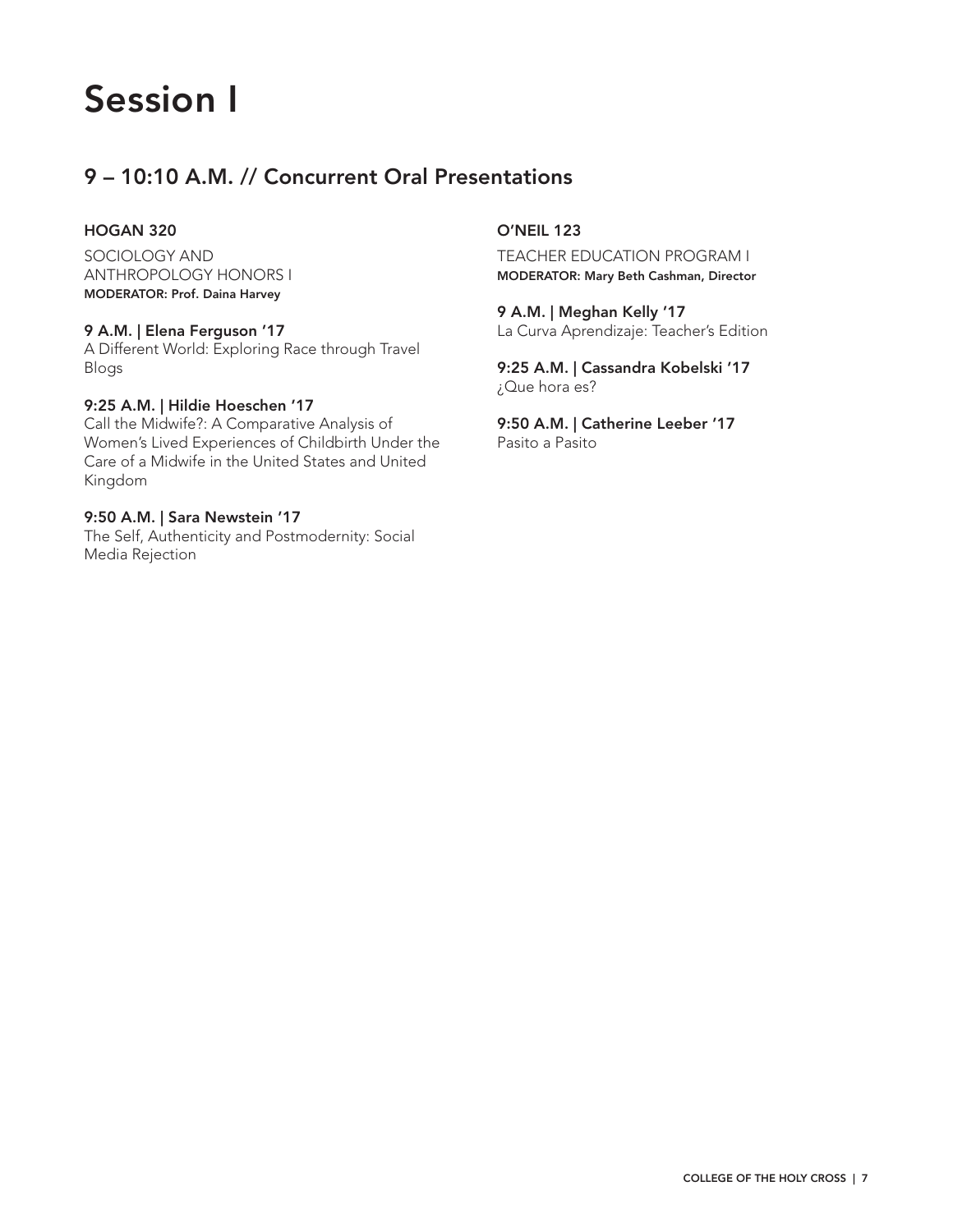# Session I

# 9 – 10:10 A.M. // Concurrent Oral Presentations

## HOGAN 320

SOCIOLOGY AND ANTHROPOLOGY HONORS I MODERATOR: Prof. Daina Harvey

## 9 A.M. | Elena Ferguson '17

A Different World: Exploring Race through Travel Blogs

## 9:25 A.M. | Hildie Hoeschen '17

Call the Midwife?: A Comparative Analysis of Women's Lived Experiences of Childbirth Under the Care of a Midwife in the United States and United Kingdom

## 9:50 A.M. | Sara Newstein '17

The Self, Authenticity and Postmodernity: Social Media Rejection

## O'NEIL 123

TEACHER EDUCATION PROGRAM I MODERATOR: Mary Beth Cashman, Director

9 A.M. | Meghan Kelly '17 La Curva Aprendizaje: Teacher's Edition

9:25 A.M. | Cassandra Kobelski '17 ¿Que hora es?

9:50 A.M. | Catherine Leeber '17 Pasito a Pasito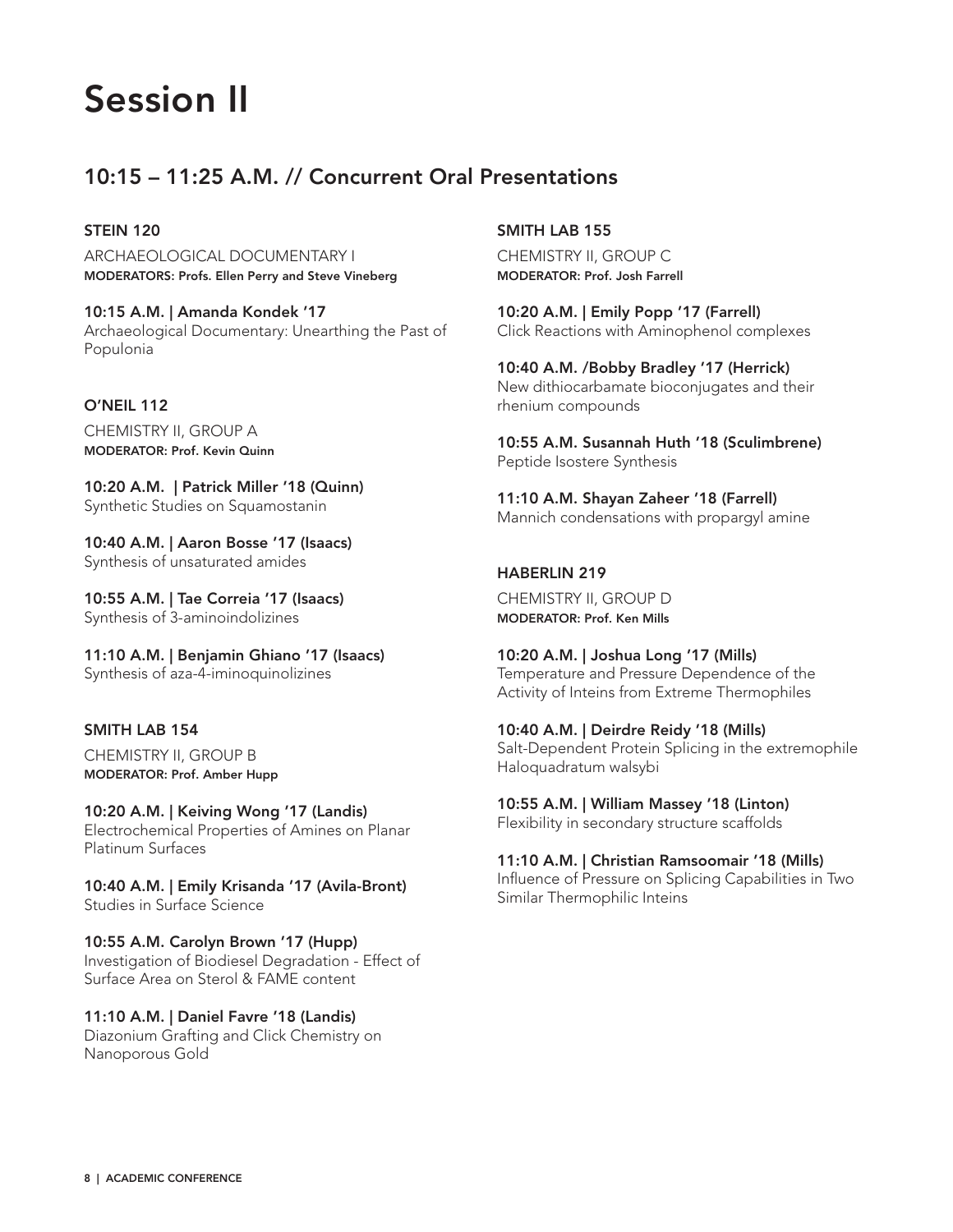# Session II

# 10:15 – 11:25 A.M. // Concurrent Oral Presentations

# STEIN 120

ARCHAEOLOGICAL DOCUMENTARY I MODERATORS: Profs. Ellen Perry and Steve Vineberg

10:15 A.M. | Amanda Kondek '17 Archaeological Documentary: Unearthing the Past of Populonia

# O'NEIL 112

CHEMISTRY II, GROUP A MODERATOR: Prof. Kevin Quinn

10:20 A.M. | Patrick Miller '18 (Quinn) Synthetic Studies on Squamostanin

10:40 A.M. | Aaron Bosse '17 (Isaacs) Synthesis of unsaturated amides

10:55 A.M. | Tae Correia '17 (Isaacs) Synthesis of 3-aminoindolizines

11:10 A.M. | Benjamin Ghiano '17 (Isaacs) Synthesis of aza-4-iminoquinolizines

# SMITH LAB 154

CHEMISTRY II, GROUP B MODERATOR: Prof. Amber Hupp

10:20 A.M. | Keiving Wong '17 (Landis) Electrochemical Properties of Amines on Planar Platinum Surfaces

10:40 A.M. | Emily Krisanda '17 (Avila-Bront) Studies in Surface Science

10:55 A.M. Carolyn Brown '17 (Hupp) Investigation of Biodiesel Degradation - Effect of Surface Area on Sterol & FAME content

11:10 A.M. | Daniel Favre '18 (Landis) Diazonium Grafting and Click Chemistry on Nanoporous Gold

# SMITH LAB 155

CHEMISTRY II, GROUP C MODERATOR: Prof. Josh Farrell

10:20 A.M. | Emily Popp '17 (Farrell) Click Reactions with Aminophenol complexes

10:40 A.M. /Bobby Bradley '17 (Herrick) New dithiocarbamate bioconjugates and their rhenium compounds

10:55 A.M. Susannah Huth '18 (Sculimbrene) Peptide Isostere Synthesis

11:10 A.M. Shayan Zaheer '18 (Farrell) Mannich condensations with propargyl amine

# HABERLIN 219

CHEMISTRY II, GROUP D MODERATOR: Prof. Ken Mills

10:20 A.M. | Joshua Long '17 (Mills) Temperature and Pressure Dependence of the Activity of Inteins from Extreme Thermophiles

10:40 A.M. | Deirdre Reidy '18 (Mills) Salt-Dependent Protein Splicing in the extremophile Haloquadratum walsybi

10:55 A.M. | William Massey '18 (Linton) Flexibility in secondary structure scaffolds

11:10 A.M. | Christian Ramsoomair '18 (Mills)

Influence of Pressure on Splicing Capabilities in Two Similar Thermophilic Inteins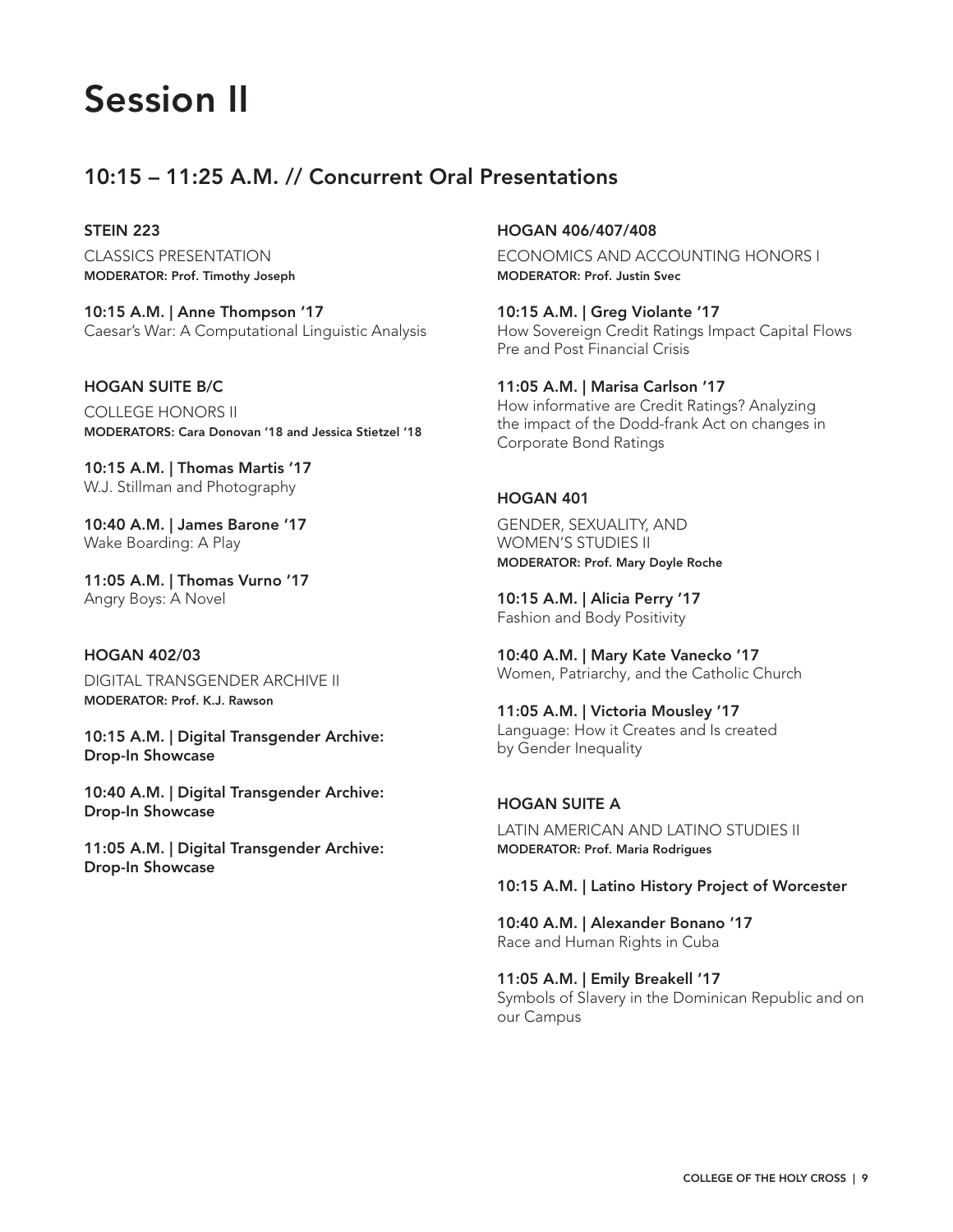# Session II

# 10:15 – 11:25 A.M. // Concurrent Oral Presentations

## STEIN 223

CLASSICS PRESENTATION MODERATOR: Prof. Timothy Joseph

10:15 A.M. | Anne Thompson '17 Caesar's War: A Computational Linguistic Analysis

## HOGAN SUITE B/C

COLLEGE HONORS II MODERATORS: Cara Donovan '18 and Jessica Stietzel '18

10:15 A.M. | Thomas Martis '17 W.J. Stillman and Photography

10:40 A.M. | James Barone '17 Wake Boarding: A Play

11:05 A.M. | Thomas Vurno '17 Angry Boys: A Novel

## HOGAN 402/03

DIGITAL TRANSGENDER ARCHIVE II MODERATOR: Prof. K.J. Rawson

10:15 A.M. | Digital Transgender Archive: Drop-In Showcase

10:40 A.M. | Digital Transgender Archive: Drop-In Showcase

11:05 A.M. | Digital Transgender Archive: Drop-In Showcase

## HOGAN 406/407/408

ECONOMICS AND ACCOUNTING HONORS I MODERATOR: Prof. Justin Svec

10:15 A.M. | Greg Violante '17 How Sovereign Credit Ratings Impact Capital Flows Pre and Post Financial Crisis

11:05 A.M. | Marisa Carlson '17 How informative are Credit Ratings? Analyzing the impact of the Dodd-frank Act on changes in Corporate Bond Ratings

## HOGAN 401

GENDER, SEXUALITY, AND WOMEN'S STUDIES II MODERATOR: Prof. Mary Doyle Roche

10:15 A.M. | Alicia Perry '17 Fashion and Body Positivity

10:40 A.M. | Mary Kate Vanecko '17 Women, Patriarchy, and the Catholic Church

11:05 A.M. | Victoria Mousley '17 Language: How it Creates and Is created by Gender Inequality

# HOGAN SUITE A

LATIN AMERICAN AND LATINO STUDIES II MODERATOR: Prof. Maria Rodrigues

## 10:15 A.M. | Latino History Project of Worcester

10:40 A.M. | Alexander Bonano '17 Race and Human Rights in Cuba

11:05 A.M. | Emily Breakell '17

Symbols of Slavery in the Dominican Republic and on our Campus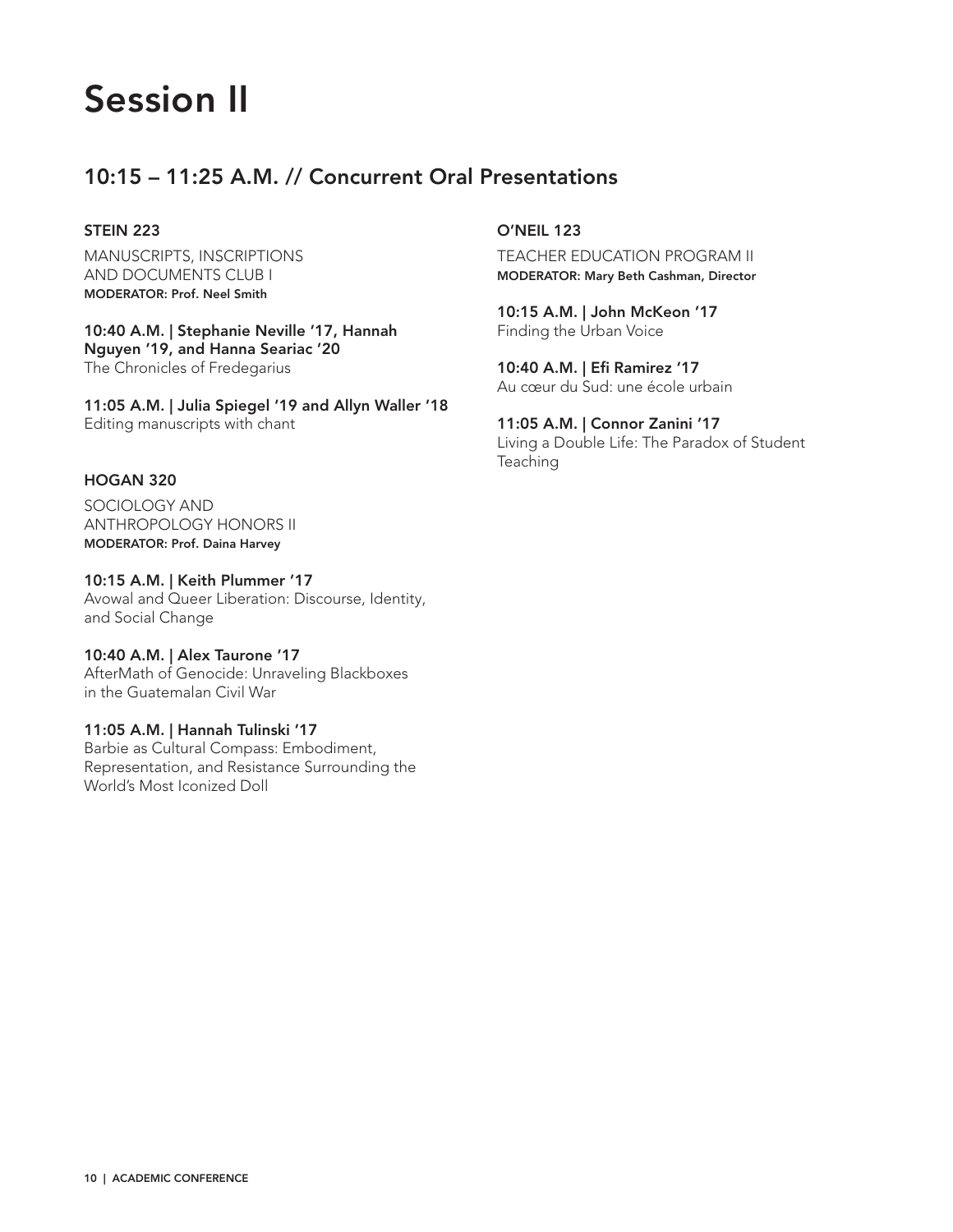# Session II

# 10:15 – 11:25 A.M. // Concurrent Oral Presentations

# STEIN 223

MANUSCRIPTS, INSCRIPTIONS AND DOCUMENTS CLUB I MODERATOR: Prof. Neel Smith

10:40 A.M. | Stephanie Neville '17, Hannah Nguyen '19, and Hanna Seariac '20 The Chronicles of Fredegarius

11:05 A.M. | Julia Spiegel '19 and Allyn Waller '18 Editing manuscripts with chant

## HOGAN 320

SOCIOLOGY AND ANTHROPOLOGY HONORS II MODERATOR: Prof. Daina Harvey

10:15 A.M. | Keith Plummer '17 Avowal and Queer Liberation: Discourse, Identity, and Social Change

10:40 A.M. | Alex Taurone '17 AfterMath of Genocide: Unraveling Blackboxes in the Guatemalan Civil War

11:05 A.M. | Hannah Tulinski '17 Barbie as Cultural Compass: Embodiment,

Representation, and Resistance Surrounding the World's Most Iconized Doll

O'NEIL 123

TEACHER EDUCATION PROGRAM II MODERATOR: Mary Beth Cashman, Director

10:15 A.M. | John McKeon '17 Finding the Urban Voice

10:40 A.M. | Efi Ramirez '17 Au cœur du Sud: une école urbain

11:05 A.M. | Connor Zanini '17 Living a Double Life: The Paradox of Student Teaching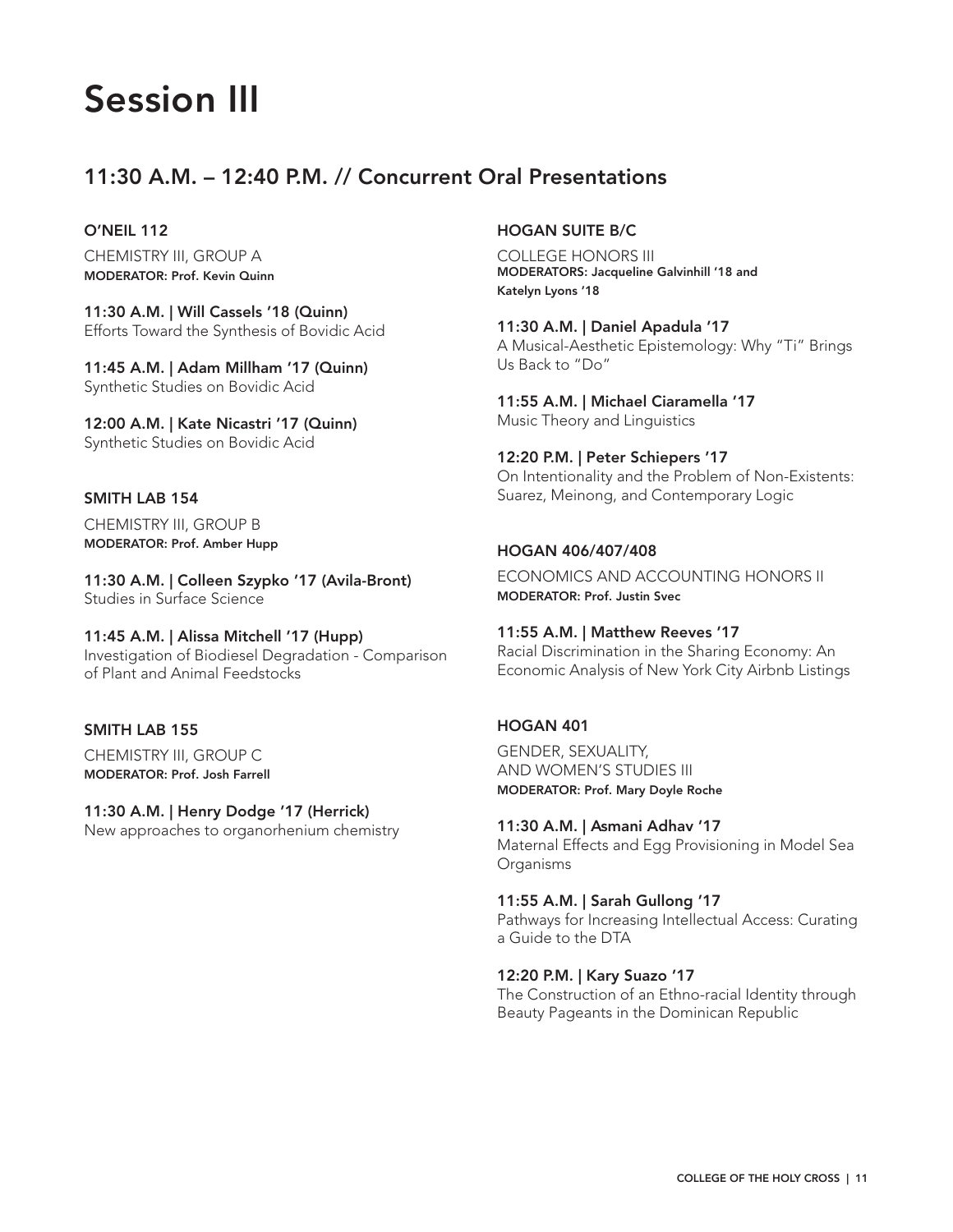# Session III

# 11:30 A.M. – 12:40 P.M. // Concurrent Oral Presentations

O'NEIL 112

CHEMISTRY III, GROUP A MODERATOR: Prof. Kevin Quinn

11:30 A.M. | Will Cassels '18 (Quinn) Efforts Toward the Synthesis of Bovidic Acid

11:45 A.M. | Adam Millham '17 (Quinn) Synthetic Studies on Bovidic Acid

12:00 A.M. | Kate Nicastri '17 (Quinn) Synthetic Studies on Bovidic Acid

#### SMITH LAB 154

CHEMISTRY III, GROUP B MODERATOR: Prof. Amber Hupp

11:30 A.M. | Colleen Szypko '17 (Avila-Bront) Studies in Surface Science

11:45 A.M. | Alissa Mitchell '17 (Hupp) Investigation of Biodiesel Degradation - Comparison of Plant and Animal Feedstocks

# SMITH LAB 155

CHEMISTRY III, GROUP C MODERATOR: Prof. Josh Farrell

# 11:30 A.M. | Henry Dodge '17 (Herrick)

New approaches to organorhenium chemistry

## HOGAN SUITE B/C

COLLEGE HONORS III MODERATORS: Jacqueline Galvinhill '18 and Katelyn Lyons '18

11:30 A.M. | Daniel Apadula '17 A Musical-Aesthetic Epistemology: Why "Ti" Brings Us Back to "Do"

11:55 A.M. | Michael Ciaramella '17 Music Theory and Linguistics

12:20 P.M. | Peter Schiepers '17 On Intentionality and the Problem of Non-Existents: Suarez, Meinong, and Contemporary Logic

#### HOGAN 406/407/408

ECONOMICS AND ACCOUNTING HONORS II MODERATOR: Prof. Justin Svec

#### 11:55 A.M. | Matthew Reeves '17

Racial Discrimination in the Sharing Economy: An Economic Analysis of New York City Airbnb Listings

## HOGAN 401

GENDER, SEXUALITY, AND WOMEN'S STUDIES III MODERATOR: Prof. Mary Doyle Roche

11:30 A.M. | Asmani Adhav '17 Maternal Effects and Egg Provisioning in Model Sea Organisms

11:55 A.M. | Sarah Gullong '17 Pathways for Increasing Intellectual Access: Curating a Guide to the DTA

## 12:20 P.M. | Kary Suazo '17

The Construction of an Ethno-racial Identity through Beauty Pageants in the Dominican Republic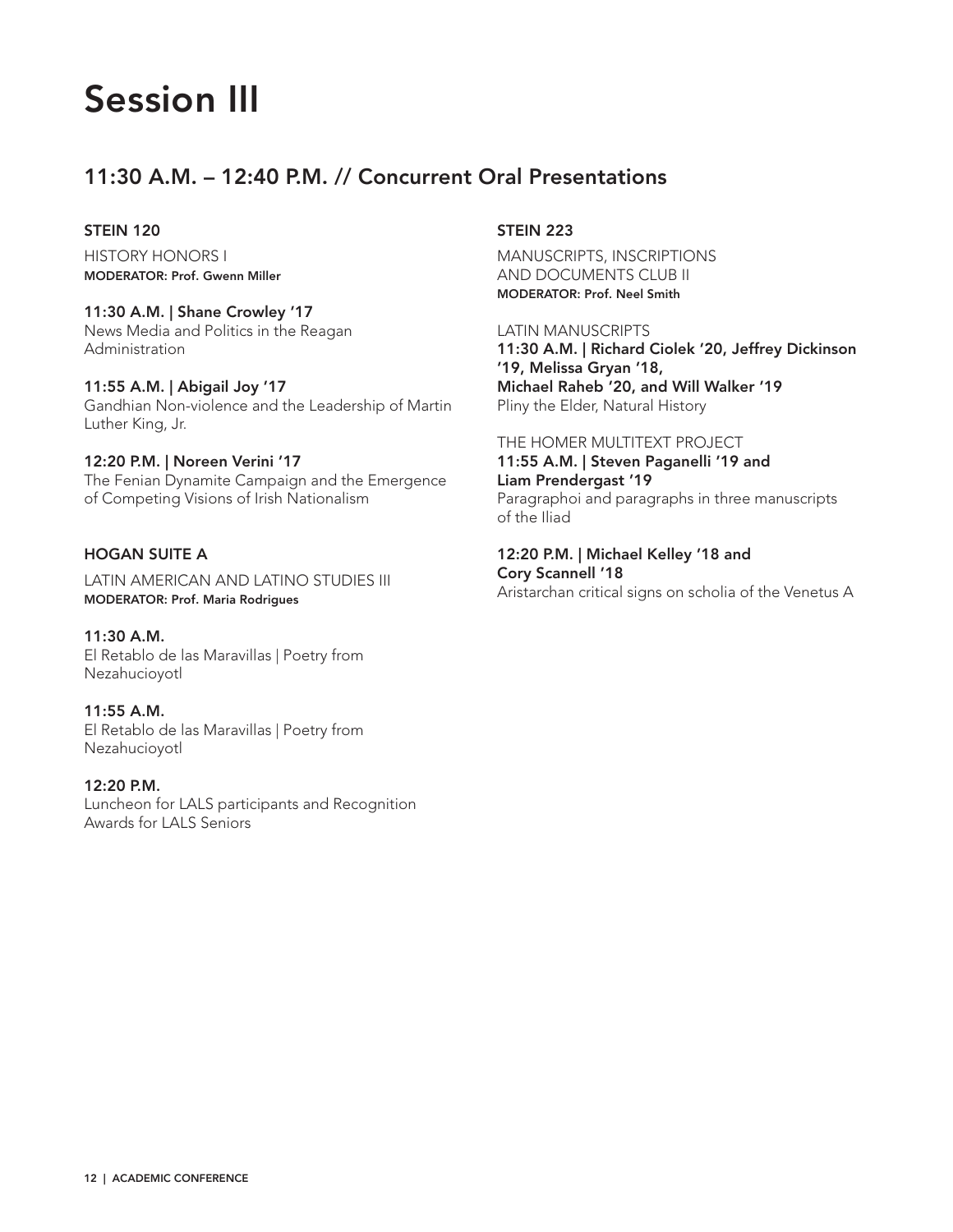# Session III

# 11:30 A.M. – 12:40 P.M. // Concurrent Oral Presentations

## STEIN 120

HISTORY HONORS I MODERATOR: Prof. Gwenn Miller

11:30 A.M. | Shane Crowley '17 News Media and Politics in the Reagan Administration

11:55 A.M. | Abigail Joy '17 Gandhian Non-violence and the Leadership of Martin Luther King, Jr.

# 12:20 P.M. | Noreen Verini '17

The Fenian Dynamite Campaign and the Emergence of Competing Visions of Irish Nationalism

## HOGAN SUITE A

LATIN AMERICAN AND LATINO STUDIES III MODERATOR: Prof. Maria Rodrigues

11:30 A.M. El Retablo de las Maravillas | Poetry from Nezahucioyotl

11:55 A.M. El Retablo de las Maravillas | Poetry from Nezahucioyotl

12:20 P.M. Luncheon for LALS participants and Recognition Awards for LALS Seniors

# STEIN 223

MANUSCRIPTS, INSCRIPTIONS AND DOCUMENTS CLUB II MODERATOR: Prof. Neel Smith

LATIN MANUSCRIPTS 11:30 A.M. | Richard Ciolek '20, Jeffrey Dickinson '19, Melissa Gryan '18, Michael Raheb '20, and Will Walker '19 Pliny the Elder, Natural History

#### THE HOMER MULTITEXT PROJECT

11:55 A.M. | Steven Paganelli '19 and Liam Prendergast '19 Paragraphoi and paragraphs in three manuscripts of the Iliad

12:20 P.M. | Michael Kelley '18 and Cory Scannell '18 Aristarchan critical signs on scholia of the Venetus A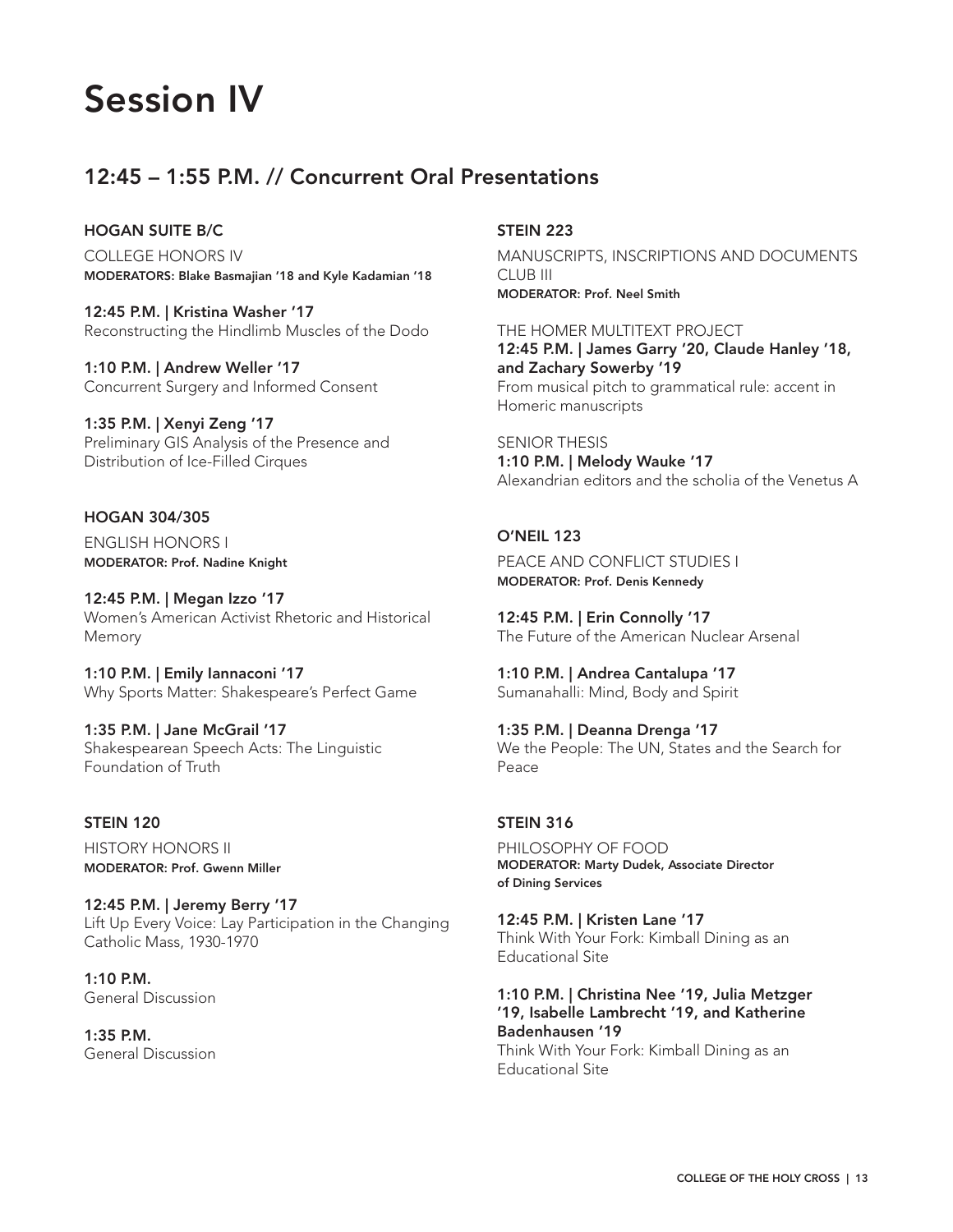# Session IV

# 12:45 – 1:55 P.M. // Concurrent Oral Presentations

## HOGAN SUITE B/C

COLLEGE HONORS IV MODERATORS: Blake Basmajian '18 and Kyle Kadamian '18

12:45 P.M. | Kristina Washer '17 Reconstructing the Hindlimb Muscles of the Dodo

1:10 P.M. | Andrew Weller '17 Concurrent Surgery and Informed Consent

1:35 P.M. | Xenyi Zeng '17 Preliminary GIS Analysis of the Presence and Distribution of Ice-Filled Cirques

# HOGAN 304/305

ENGLISH HONORS I MODERATOR: Prof. Nadine Knight

12:45 P.M. | Megan Izzo '17 Women's American Activist Rhetoric and Historical Memory

1:10 P.M. | Emily Iannaconi '17 Why Sports Matter: Shakespeare's Perfect Game

1:35 P.M. | Jane McGrail '17 Shakespearean Speech Acts: The Linguistic Foundation of Truth

## STEIN 120 HISTORY HONORS II MODERATOR: Prof. Gwenn Miller

12:45 P.M. | Jeremy Berry '17

Lift Up Every Voice: Lay Participation in the Changing Catholic Mass, 1930-1970

1:10 P.M. General Discussion

1:35 P.M. General Discussion

## STEIN 223

MANUSCRIPTS, INSCRIPTIONS AND DOCUMENTS CLUB III MODERATOR: Prof. Neel Smith

THE HOMER MULTITEXT PROJECT 12:45 P.M. | James Garry '20, Claude Hanley '18, and Zachary Sowerby '19 From musical pitch to grammatical rule: accent in Homeric manuscripts

SENIOR THESIS 1:10 P.M. | Melody Wauke '17 Alexandrian editors and the scholia of the Venetus A

# O'NEIL 123

PEACE AND CONFLICT STUDIES I MODERATOR: Prof. Denis Kennedy

12:45 P.M. | Erin Connolly '17 The Future of the American Nuclear Arsenal

1:10 P.M. | Andrea Cantalupa '17 Sumanahalli: Mind, Body and Spirit

1:35 P.M. | Deanna Drenga '17 We the People: The UN, States and the Search for Peace

## STEIN 316

PHILOSOPHY OF FOOD MODERATOR: Marty Dudek, Associate Director of Dining Services

12:45 P.M. | Kristen Lane '17 Think With Your Fork: Kimball Dining as an Educational Site

1:10 P.M. | Christina Nee '19, Julia Metzger '19, Isabelle Lambrecht '19, and Katherine Badenhausen '19 Think With Your Fork: Kimball Dining as an Educational Site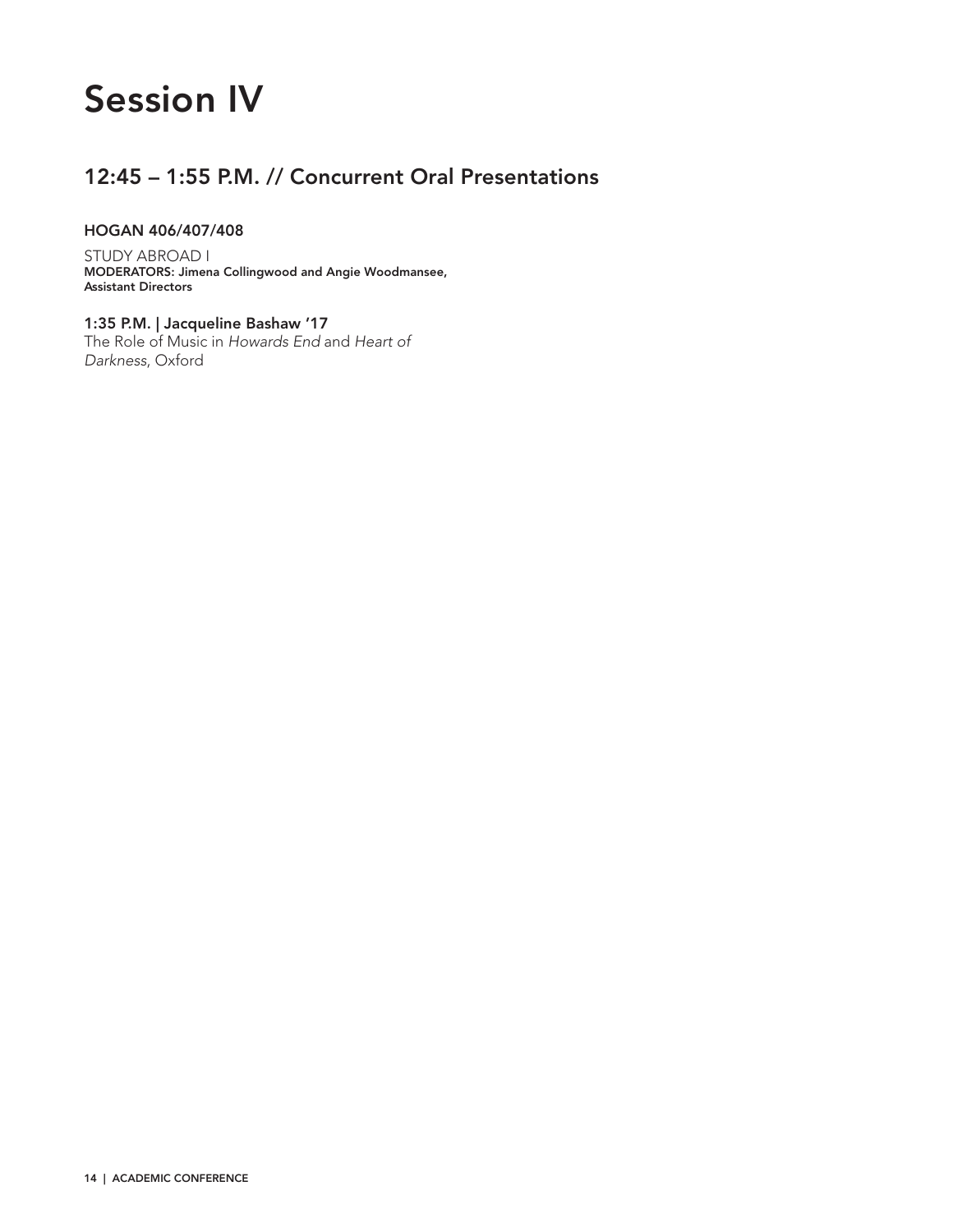# Session IV

# 12:45 – 1:55 P.M. // Concurrent Oral Presentations

## HOGAN 406/407/408

STUDY ABROAD I MODERATORS: Jimena Collingwood and Angie Woodmansee, Assistant Directors

1:35 P.M. | Jacqueline Bashaw '17 The Role of Music in *Howards End* and *Heart of Darkness*, Oxford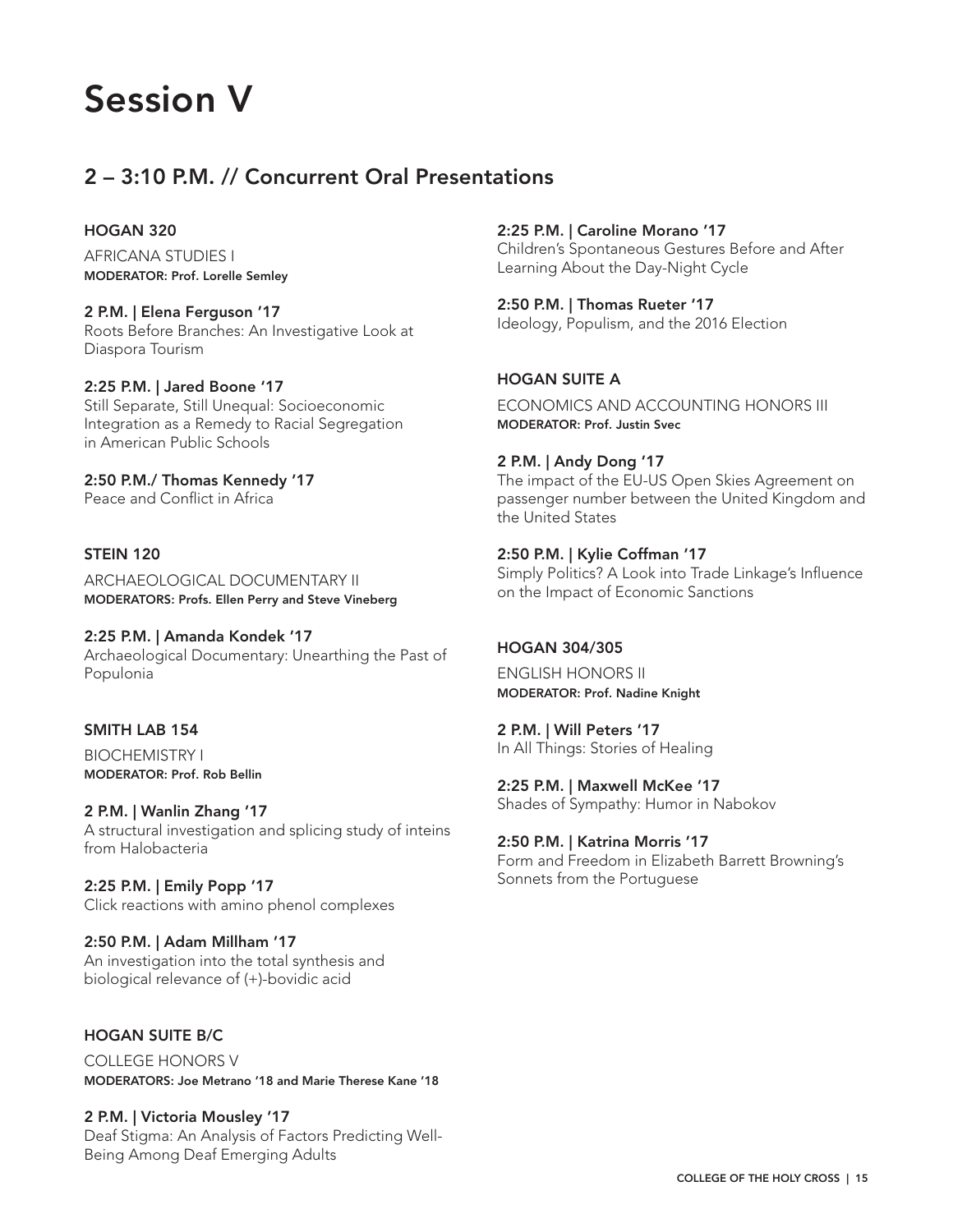# Session V

# 2 – 3:10 P.M. // Concurrent Oral Presentations

## HOGAN 320

AFRICANA STUDIES I MODERATOR: Prof. Lorelle Semley

2 P.M. | Elena Ferguson '17 Roots Before Branches: An Investigative Look at Diaspora Tourism

2:25 P.M. | Jared Boone '17 Still Separate, Still Unequal: Socioeconomic Integration as a Remedy to Racial Segregation in American Public Schools

2:50 P.M./ Thomas Kennedy '17 Peace and Conflict in Africa

# STEIN 120

ARCHAEOLOGICAL DOCUMENTARY II MODERATORS: Profs. Ellen Perry and Steve Vineberg

2:25 P.M. | Amanda Kondek '17 Archaeological Documentary: Unearthing the Past of Populonia

# SMITH LAB 154

BIOCHEMISTRY I MODERATOR: Prof. Rob Bellin

2 P.M. | Wanlin Zhang '17 A structural investigation and splicing study of inteins from Halobacteria

2:25 P.M. | Emily Popp '17 Click reactions with amino phenol complexes

2:50 P.M. | Adam Millham '17 An investigation into the total synthesis and biological relevance of (+)-bovidic acid

# HOGAN SUITE B/C

COLLEGE HONORS V MODERATORS: Joe Metrano '18 and Marie Therese Kane '18

2 P.M. | Victoria Mousley '17 Deaf Stigma: An Analysis of Factors Predicting Well-Being Among Deaf Emerging Adults

2:25 P.M. | Caroline Morano '17 Children's Spontaneous Gestures Before and After Learning About the Day-Night Cycle

2:50 P.M. | Thomas Rueter '17 Ideology, Populism, and the 2016 Election

# HOGAN SUITE A

ECONOMICS AND ACCOUNTING HONORS III MODERATOR: Prof. Justin Svec

2 P.M. | Andy Dong '17

The impact of the EU-US Open Skies Agreement on passenger number between the United Kingdom and the United States

## 2:50 P.M. | Kylie Coffman '17

Simply Politics? A Look into Trade Linkage's Influence on the Impact of Economic Sanctions

## HOGAN 304/305

ENGLISH HONORS II MODERATOR: Prof. Nadine Knight

2 P.M. | Will Peters '17 In All Things: Stories of Healing

2:25 P.M. | Maxwell McKee '17 Shades of Sympathy: Humor in Nabokov

2:50 P.M. | Katrina Morris '17 Form and Freedom in Elizabeth Barrett Browning's Sonnets from the Portuguese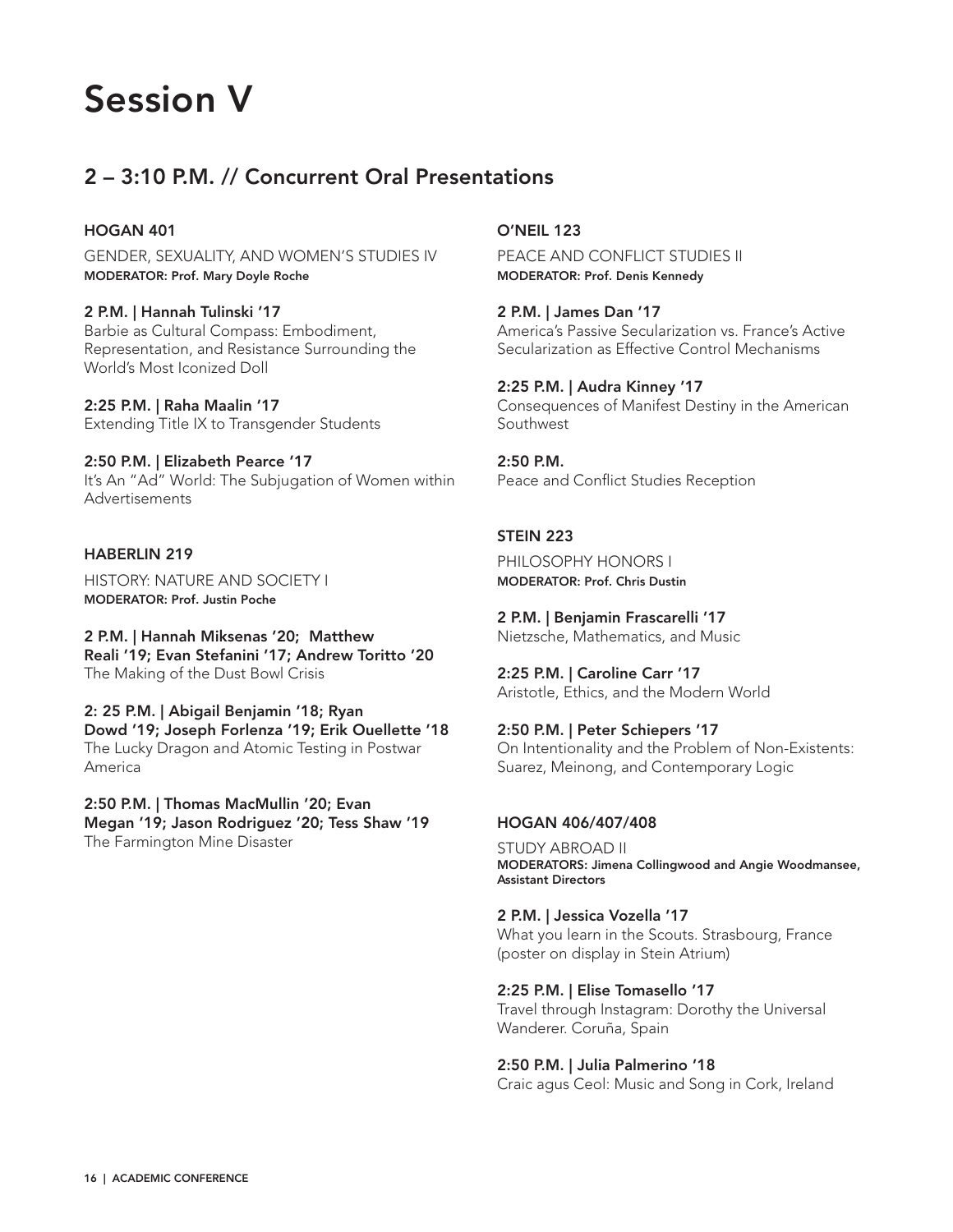

# 2 – 3:10 P.M. // Concurrent Oral Presentations

#### HOGAN 401

GENDER, SEXUALITY, AND WOMEN'S STUDIES IV MODERATOR: Prof. Mary Doyle Roche

#### 2 P.M. | Hannah Tulinski '17

Barbie as Cultural Compass: Embodiment, Representation, and Resistance Surrounding the World's Most Iconized Doll

2:25 P.M. | Raha Maalin '17 Extending Title IX to Transgender Students

2:50 P.M. | Elizabeth Pearce '17 It's An "Ad" World: The Subjugation of Women within Advertisements

#### HABERLIN 219

HISTORY: NATURE AND SOCIETY I MODERATOR: Prof. Justin Poche

2 P.M. | Hannah Miksenas '20; Matthew Reali '19; Evan Stefanini '17; Andrew Toritto '20 The Making of the Dust Bowl Crisis

2: 25 P.M. | Abigail Benjamin '18; Ryan Dowd '19; Joseph Forlenza '19; Erik Ouellette '18 The Lucky Dragon and Atomic Testing in Postwar America

2:50 P.M. | Thomas MacMullin '20; Evan Megan '19; Jason Rodriguez '20; Tess Shaw '19 The Farmington Mine Disaster

#### O'NEIL 123

PEACE AND CONFLICT STUDIES II MODERATOR: Prof. Denis Kennedy

2 P.M. | James Dan '17 America's Passive Secularization vs. France's Active Secularization as Effective Control Mechanisms

2:25 P.M. | Audra Kinney '17 Consequences of Manifest Destiny in the American Southwest

2:50 P.M. Peace and Conflict Studies Reception

#### STEIN 223

PHILOSOPHY HONORS I MODERATOR: Prof. Chris Dustin

2 P.M. | Benjamin Frascarelli '17 Nietzsche, Mathematics, and Music

2:25 P.M. | Caroline Carr '17 Aristotle, Ethics, and the Modern World

2:50 P.M. | Peter Schiepers '17 On Intentionality and the Problem of Non-Existents: Suarez, Meinong, and Contemporary Logic

#### HOGAN 406/407/408

STUDY ABROAD II MODERATORS: Jimena Collingwood and Angie Woodmansee, Assistant Directors

2 P.M. | Jessica Vozella '17 What you learn in the Scouts. Strasbourg, France (poster on display in Stein Atrium)

2:25 P.M. | Elise Tomasello '17 Travel through Instagram: Dorothy the Universal Wanderer. Coruña, Spain

2:50 P.M. | Julia Palmerino '18 Craic agus Ceol: Music and Song in Cork, Ireland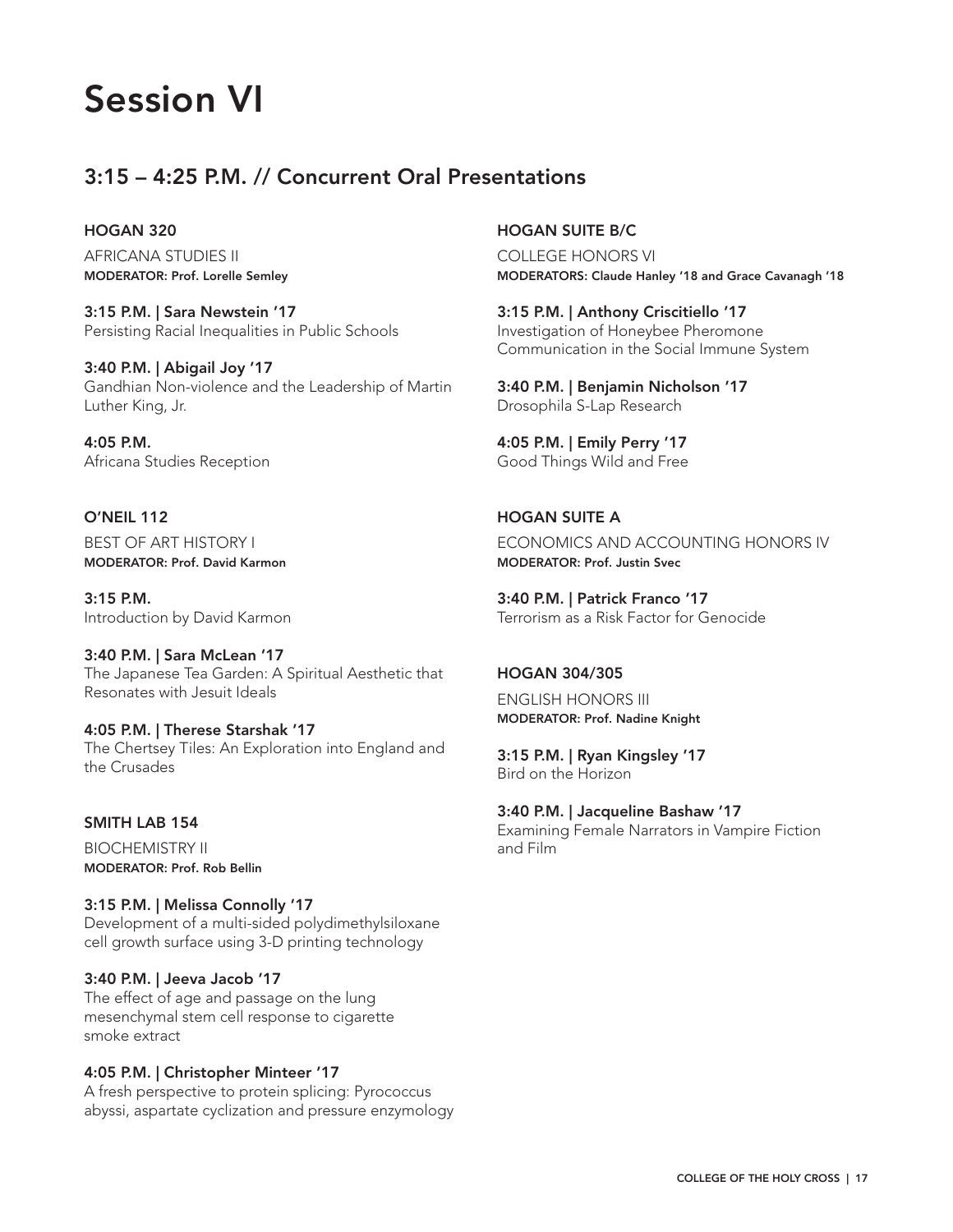# Session VI

# 3:15 – 4:25 P.M. // Concurrent Oral Presentations

#### HOGAN 320

AFRICANA STUDIES II MODERATOR: Prof. Lorelle Semley

3:15 P.M. | Sara Newstein '17 Persisting Racial Inequalities in Public Schools

3:40 P.M. | Abigail Joy '17 Gandhian Non-violence and the Leadership of Martin Luther King, Jr.

4:05 P.M. Africana Studies Reception

O'NEIL 112 BEST OF ART HISTORY I MODERATOR: Prof. David Karmon

3:15 P.M. Introduction by David Karmon

3:40 P.M. | Sara McLean '17 The Japanese Tea Garden: A Spiritual Aesthetic that Resonates with Jesuit Ideals

4:05 P.M. | Therese Starshak '17 The Chertsey Tiles: An Exploration into England and the Crusades

# SMITH LAB 154

BIOCHEMISTRY II MODERATOR: Prof. Rob Bellin

3:15 P.M. | Melissa Connolly '17 Development of a multi-sided polydimethylsiloxane cell growth surface using 3-D printing technology

3:40 P.M. | Jeeva Jacob '17 The effect of age and passage on the lung mesenchymal stem cell response to cigarette smoke extract

#### 4:05 P.M. | Christopher Minteer '17

A fresh perspective to protein splicing: Pyrococcus abyssi, aspartate cyclization and pressure enzymology

### HOGAN SUITE B/C

COLLEGE HONORS VI MODERATORS: Claude Hanley '18 and Grace Cavanagh '18

3:15 P.M. | Anthony Criscitiello '17 Investigation of Honeybee Pheromone Communication in the Social Immune System

3:40 P.M. | Benjamin Nicholson '17 Drosophila S-Lap Research

4:05 P.M. | Emily Perry '17 Good Things Wild and Free

HOGAN SUITE A ECONOMICS AND ACCOUNTING HONORS IV MODERATOR: Prof. Justin Svec

3:40 P.M. | Patrick Franco '17 Terrorism as a Risk Factor for Genocide

#### HOGAN 304/305

ENGLISH HONORS III MODERATOR: Prof. Nadine Knight

3:15 P.M. | Ryan Kingsley '17 Bird on the Horizon

3:40 P.M. | Jacqueline Bashaw '17 Examining Female Narrators in Vampire Fiction and Film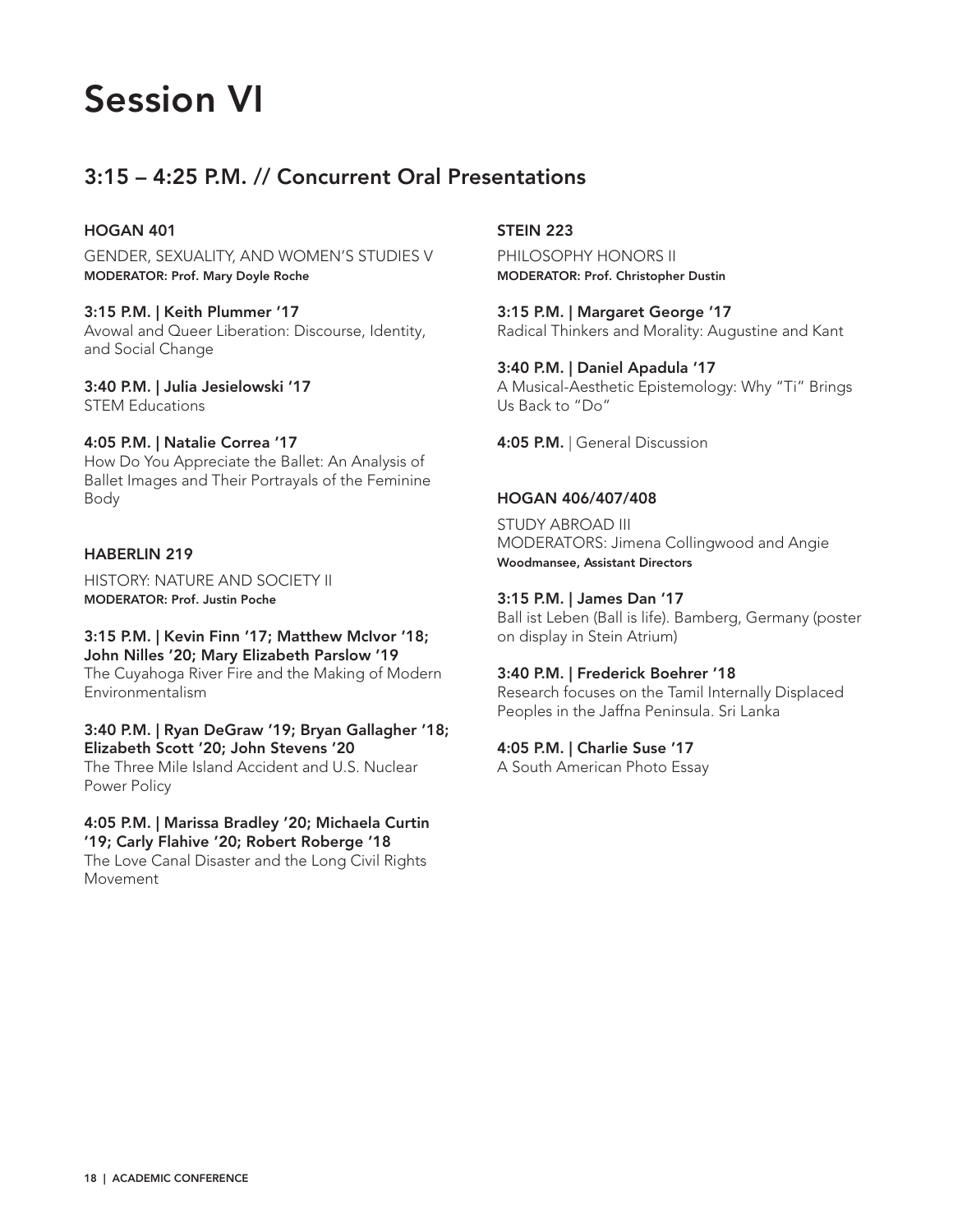# Session VI

# 3:15 – 4:25 P.M. // Concurrent Oral Presentations

## HOGAN 401

GENDER, SEXUALITY, AND WOMEN'S STUDIES V MODERATOR: Prof. Mary Doyle Roche

#### 3:15 P.M. | Keith Plummer '17

Avowal and Queer Liberation: Discourse, Identity, and Social Change

#### 3:40 P.M. | Julia Jesielowski '17 STEM Educations

#### 4:05 P.M. | Natalie Correa '17

How Do You Appreciate the Ballet: An Analysis of Ballet Images and Their Portrayals of the Feminine Body

#### HABERLIN 219

HISTORY: NATURE AND SOCIETY II MODERATOR: Prof. Justin Poche

# 3:15 P.M. | Kevin Finn '17; Matthew McIvor '18;

John Nilles '20; Mary Elizabeth Parslow '19 The Cuyahoga River Fire and the Making of Modern Environmentalism

#### 3:40 P.M. | Ryan DeGraw '19; Bryan Gallagher '18; Elizabeth Scott '20; John Stevens '20

The Three Mile Island Accident and U.S. Nuclear Power Policy

#### 4:05 P.M. | Marissa Bradley '20; Michaela Curtin '19; Carly Flahive '20; Robert Roberge '18

The Love Canal Disaster and the Long Civil Rights Movement

## STEIN 223

PHILOSOPHY HONORS II MODERATOR: Prof. Christopher Dustin

# 3:15 P.M. | Margaret George '17

Radical Thinkers and Morality: Augustine and Kant

## 3:40 P.M. | Daniel Apadula '17

A Musical-Aesthetic Epistemology: Why "Ti" Brings Us Back to "Do"

4:05 P.M. | General Discussion

#### HOGAN 406/407/408

STUDY ABROAD III MODERATORS: Jimena Collingwood and Angie Woodmansee, Assistant Directors

#### 3:15 P.M. | James Dan '17

Ball ist Leben (Ball is life). Bamberg, Germany (poster on display in Stein Atrium)

## 3:40 P.M. | Frederick Boehrer '18

Research focuses on the Tamil Internally Displaced Peoples in the Jaffna Peninsula. Sri Lanka

## 4:05 P.M. | Charlie Suse '17

A South American Photo Essay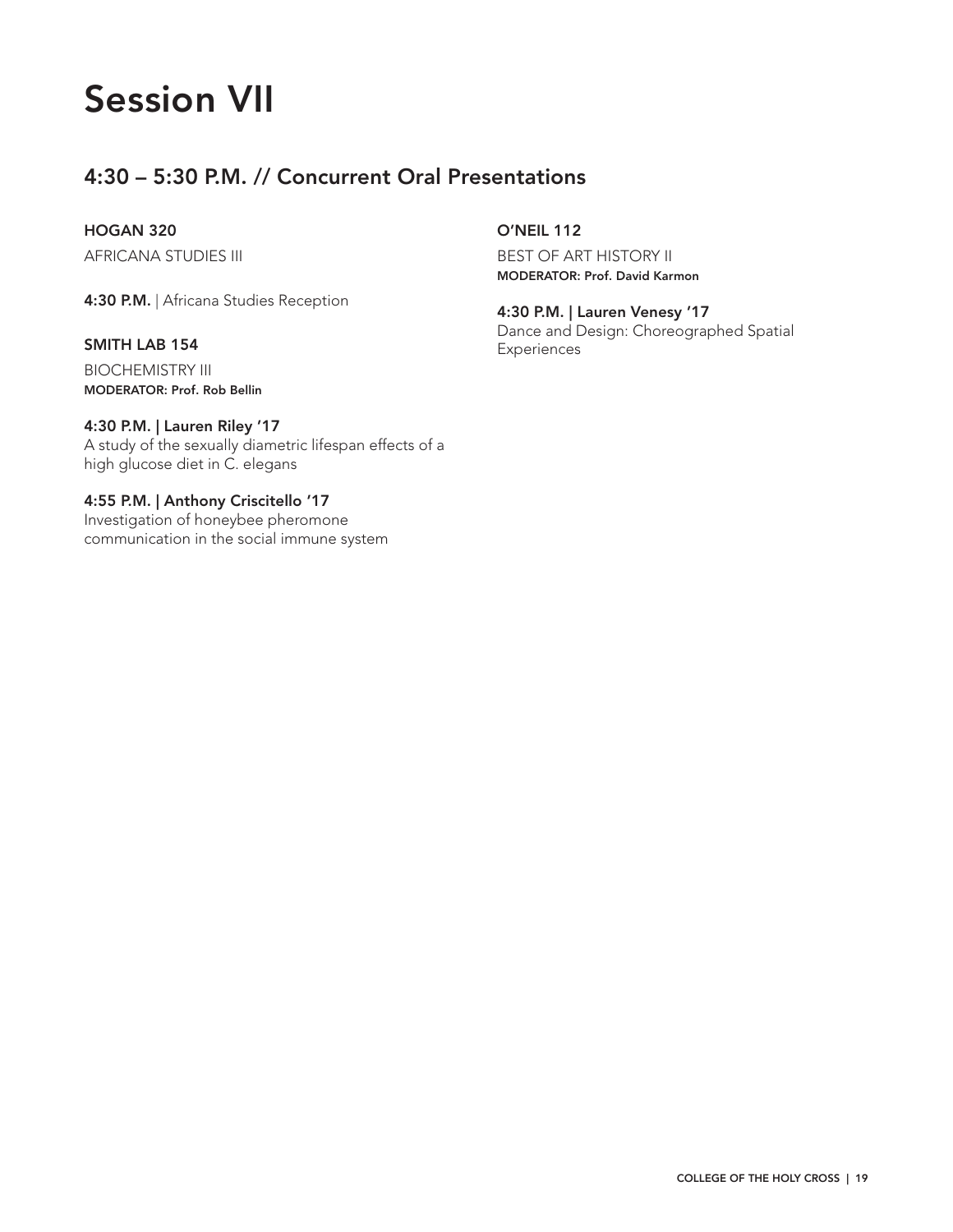# Session VII

# 4:30 – 5:30 P.M. // Concurrent Oral Presentations

## HOGAN 320

AFRICANA STUDIES III

4:30 P.M. | Africana Studies Reception

## SMITH LAB 154

BIOCHEMISTRY III MODERATOR: Prof. Rob Bellin

## 4:30 P.M. | Lauren Riley '17

A study of the sexually diametric lifespan effects of a high glucose diet in C. elegans

### 4:55 P.M. | Anthony Criscitello '17 Investigation of honeybee pheromone communication in the social immune system

# O'NEIL 112

BEST OF ART HISTORY II MODERATOR: Prof. David Karmon

4:30 P.M. | Lauren Venesy '17 Dance and Design: Choreographed Spatial Experiences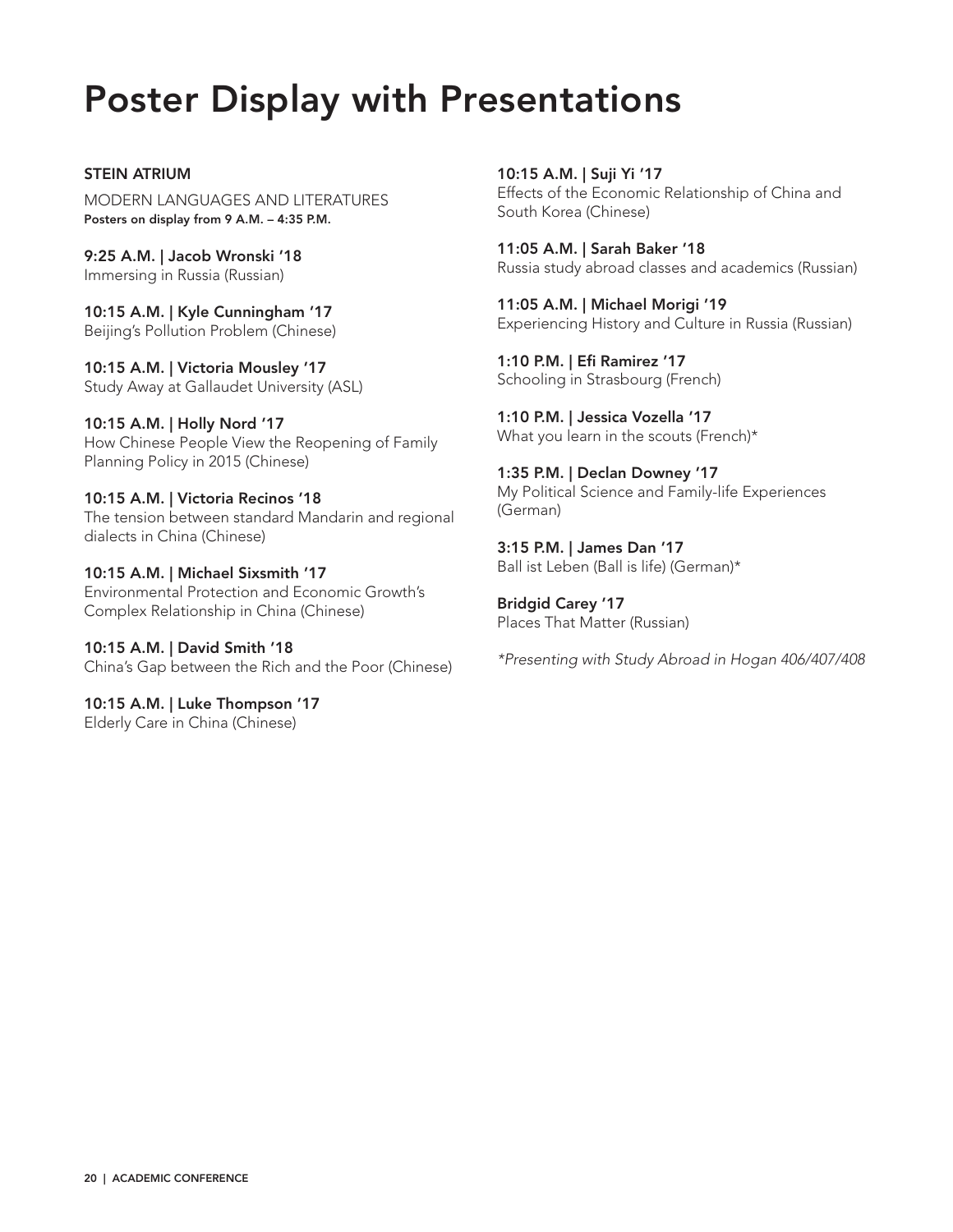# Poster Display with Presentations

STEIN ATRIUM MODERN LANGUAGES AND LITERATURES Posters on display from 9 A.M. – 4:35 P.M.

9:25 A.M. | Jacob Wronski '18 Immersing in Russia (Russian)

10:15 A.M. | Kyle Cunningham '17 Beijing's Pollution Problem (Chinese)

10:15 A.M. | Victoria Mousley '17 Study Away at Gallaudet University (ASL)

10:15 A.M. | Holly Nord '17 How Chinese People View the Reopening of Family Planning Policy in 2015 (Chinese)

10:15 A.M. | Victoria Recinos '18 The tension between standard Mandarin and regional dialects in China (Chinese)

10:15 A.M. | Michael Sixsmith '17 Environmental Protection and Economic Growth's Complex Relationship in China (Chinese)

10:15 A.M. | David Smith '18 China's Gap between the Rich and the Poor (Chinese)

10:15 A.M. | Luke Thompson '17 Elderly Care in China (Chinese)

10:15 A.M. | Suji Yi '17 Effects of the Economic Relationship of China and South Korea (Chinese)

11:05 A.M. | Sarah Baker '18 Russia study abroad classes and academics (Russian)

11:05 A.M. | Michael Morigi '19 Experiencing History and Culture in Russia (Russian)

1:10 P.M. | Efi Ramirez '17 Schooling in Strasbourg (French)

1:10 P.M. | Jessica Vozella '17 What you learn in the scouts (French)\*

1:35 P.M. | Declan Downey '17 My Political Science and Family-life Experiences (German)

3:15 P.M. | James Dan '17 Ball ist Leben (Ball is life) (German)\*

Bridgid Carey '17 Places That Matter (Russian)

*\*Presenting with Study Abroad in Hogan 406/407/408*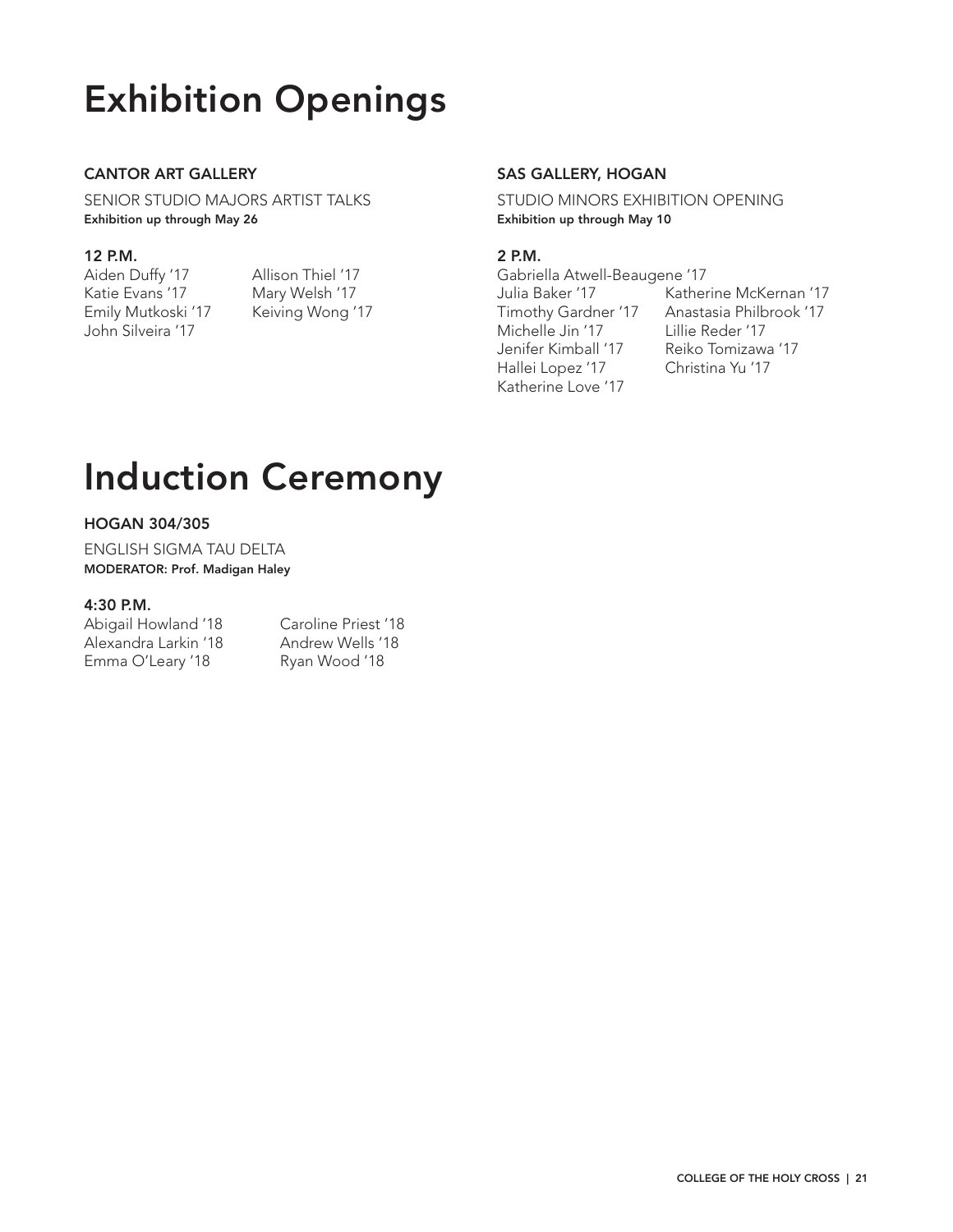# Exhibition Openings

# CANTOR ART GALLERY

SENIOR STUDIO MAJORS ARTIST TALKS Exhibition up through May 26

## 12 P.M.

Aiden Duffy '17 Allison Thiel '17 Katie Evans '17 Mary Welsh '17 Emily Mutkoski '17 Keiving Wong '17 John Silveira '17

## SAS GALLERY, HOGAN

STUDIO MINORS EXHIBITION OPENING Exhibition up through May 10

## 2 P.M.

Gabriella Atwell-Beaugene '17 Michelle Jin '17 Lillie Reder '17 Hallei Lopez '17 Christina Yu '17 Katherine Love '17

Julia Baker '17 Katherine McKernan '17 Timothy Gardner '17 Anastasia Philbrook '17 Jenifer Kimball '17 Reiko Tomizawa '17

# Induction Ceremony

## HOGAN 304/305

ENGLISH SIGMA TAU DELTA MODERATOR: Prof. Madigan Haley

#### 4:30 P.M.

Abigail Howland '18 Caroline Priest '18 Alexandra Larkin '18 Andrew Wells '18 Emma O'Leary '18 Ryan Wood '18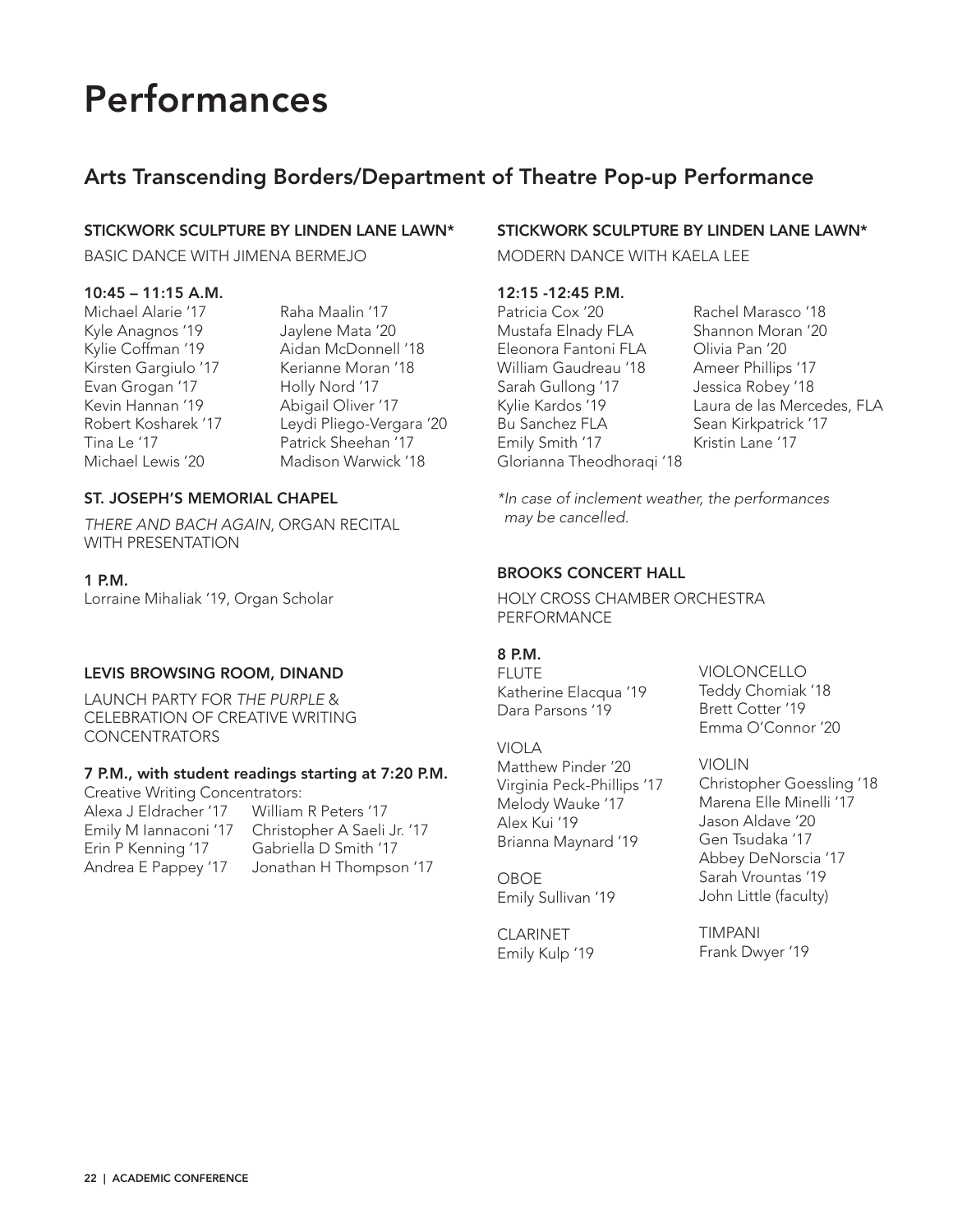# Performances

# Arts Transcending Borders/Department of Theatre Pop-up Performance

## STICKWORK SCULPTURE BY LINDEN LANE LAWN\*

BASIC DANCE WITH JIMENA BERMEJO

## 10:45 – 11:15 A.M.

Kyle Anagnos '19 Jaylene Mata '20 Evan Grogan '17 Holly Nord '17 Kevin Hannan '19 Abigail Oliver '17

Michael Alarie '17 Raha Maalin '17 Kylie Coffman '19 Aidan McDonnell '18 Kirsten Gargiulo '17 Kerianne Moran '18 Robert Kosharek '17 Leydi Pliego-Vergara '20 Patrick Sheehan '17 Michael Lewis '20 Madison Warwick '18

## ST. JOSEPH'S MEMORIAL CHAPEL

*THERE AND BACH AGAIN*, ORGAN RECITAL WITH PRESENTATION

## 1 P.M.

Lorraine Mihaliak '19, Organ Scholar

## LEVIS BROWSING ROOM, DINAND

LAUNCH PARTY FOR *THE PURPLE* & CELEBRATION OF CREATIVE WRITING CONCENTRATORS

# 7 P.M., with student readings starting at 7:20 P.M.

Creative Writing Concentrators: Alexa J Eldracher '17 William R Peters '17 Emily M Iannaconi '17 Christopher A Saeli Jr. '17 Erin P Kenning '17 Gabriella D Smith '17 Andrea E Pappey '17 Jonathan H Thompson '17

# STICKWORK SCULPTURE BY LINDEN LANE LAWN\*

MODERN DANCE WITH KAELA LEE

# 12:15 -12:45 P.M.

Patricia Cox '20 Rachel Marasco '18 Mustafa Elnady FLA Shannon Moran '20 Eleonora Fantoni FLA Olivia Pan '20 William Gaudreau '18 Ameer Phillips '17 Sarah Gullong '17 Jessica Robey '18 Bu Sanchez FLA<br>
Sean Kirkpatrick '17 Emily Smith '17 Kristin Lane '17 Glorianna Theodhoraqi '18

Kylie Kardos '19 Laura de las Mercedes, FLA

*\*In case of inclement weather, the performances may be cancelled.*

## BROOKS CONCERT HALL

HOLY CROSS CHAMBER ORCHESTRA PERFORMANCE

## 8 P.M.

FLUTE Katherine Elacqua '19 Dara Parsons '19

## VIOLA

Matthew Pinder '20 Virginia Peck-Phillips '17 Melody Wauke '17 Alex Kui '19 Brianna Maynard '19

OBOE Emily Sullivan '19

CLARINET Emily Kulp '19 VIOLONCELLO Teddy Chomiak '18 Brett Cotter '19 Emma O'Connor '20

VIOLIN Christopher Goessling '18 Marena Elle Minelli '17 Jason Aldave '20 Gen Tsudaka '17 Abbey DeNorscia '17 Sarah Vrountas '19 John Little (faculty)

TIMPANI Frank Dwyer '19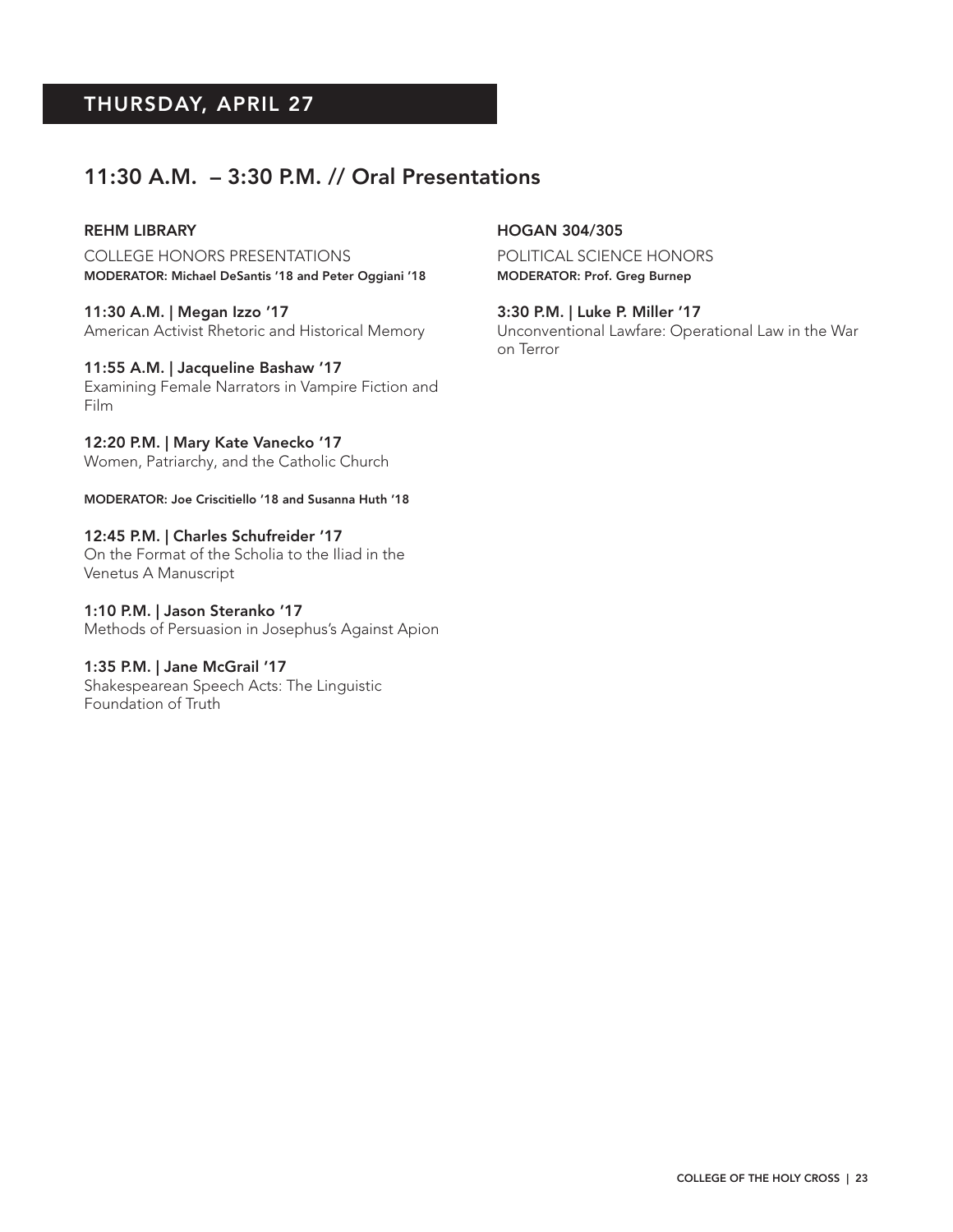# THURSDAY, APRIL 27

# 11:30 A.M. – 3:30 P.M. // Oral Presentations

#### REHM LIBRARY

COLLEGE HONORS PRESENTATIONS MODERATOR: Michael DeSantis '18 and Peter Oggiani '18

11:30 A.M. | Megan Izzo '17 American Activist Rhetoric and Historical Memory

#### 11:55 A.M. | Jacqueline Bashaw '17

Examining Female Narrators in Vampire Fiction and Film

12:20 P.M. | Mary Kate Vanecko '17 Women, Patriarchy, and the Catholic Church

MODERATOR: Joe Criscitiello '18 and Susanna Huth '18

12:45 P.M. | Charles Schufreider '17 On the Format of the Scholia to the Iliad in the Venetus A Manuscript

1:10 P.M. | Jason Steranko '17 Methods of Persuasion in Josephus's Against Apion

## 1:35 P.M. | Jane McGrail '17

Shakespearean Speech Acts: The Linguistic Foundation of Truth

#### HOGAN 304/305

POLITICAL SCIENCE HONORS MODERATOR: Prof. Greg Burnep

3:30 P.M. | Luke P. Miller '17 Unconventional Lawfare: Operational Law in the War on Terror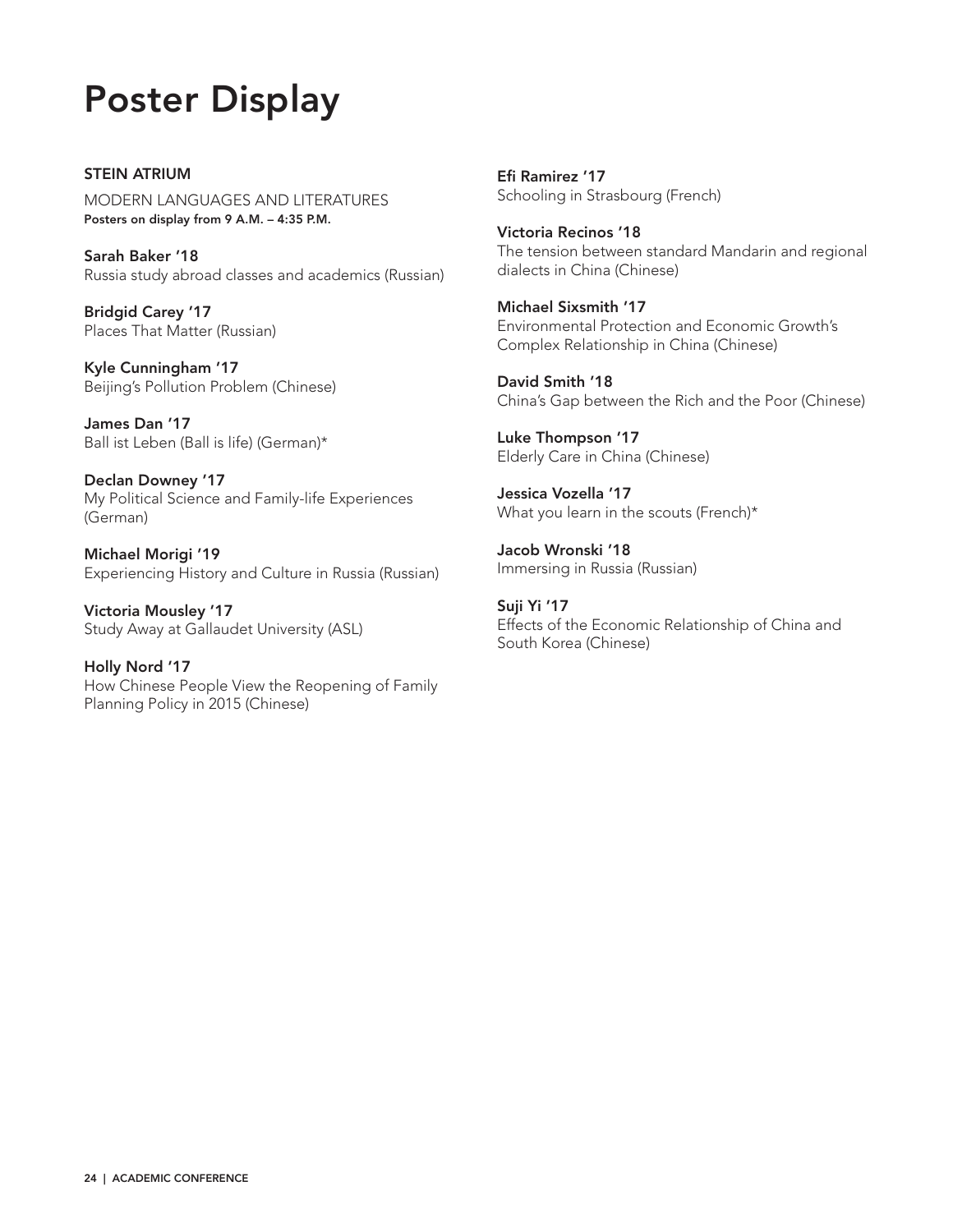# Poster Display

STEIN ATRIUM MODERN LANGUAGES AND LITERATURES Posters on display from 9 A.M. – 4:35 P.M.

Sarah Baker '18 Russia study abroad classes and academics (Russian)

Bridgid Carey '17 Places That Matter (Russian)

Kyle Cunningham '17 Beijing's Pollution Problem (Chinese)

James Dan '17 Ball ist Leben (Ball is life) (German)\*

Declan Downey '17 My Political Science and Family-life Experiences (German)

Michael Morigi '19 Experiencing History and Culture in Russia (Russian)

Victoria Mousley '17 Study Away at Gallaudet University (ASL)

Holly Nord '17 How Chinese People View the Reopening of Family Planning Policy in 2015 (Chinese)

Efi Ramirez '17 Schooling in Strasbourg (French)

Victoria Recinos '18 The tension between standard Mandarin and regional dialects in China (Chinese)

Michael Sixsmith '17 Environmental Protection and Economic Growth's Complex Relationship in China (Chinese)

David Smith '18 China's Gap between the Rich and the Poor (Chinese)

Luke Thompson '17 Elderly Care in China (Chinese)

Jessica Vozella '17 What you learn in the scouts (French)\*

Jacob Wronski '18 Immersing in Russia (Russian)

Suji Yi '17 Effects of the Economic Relationship of China and South Korea (Chinese)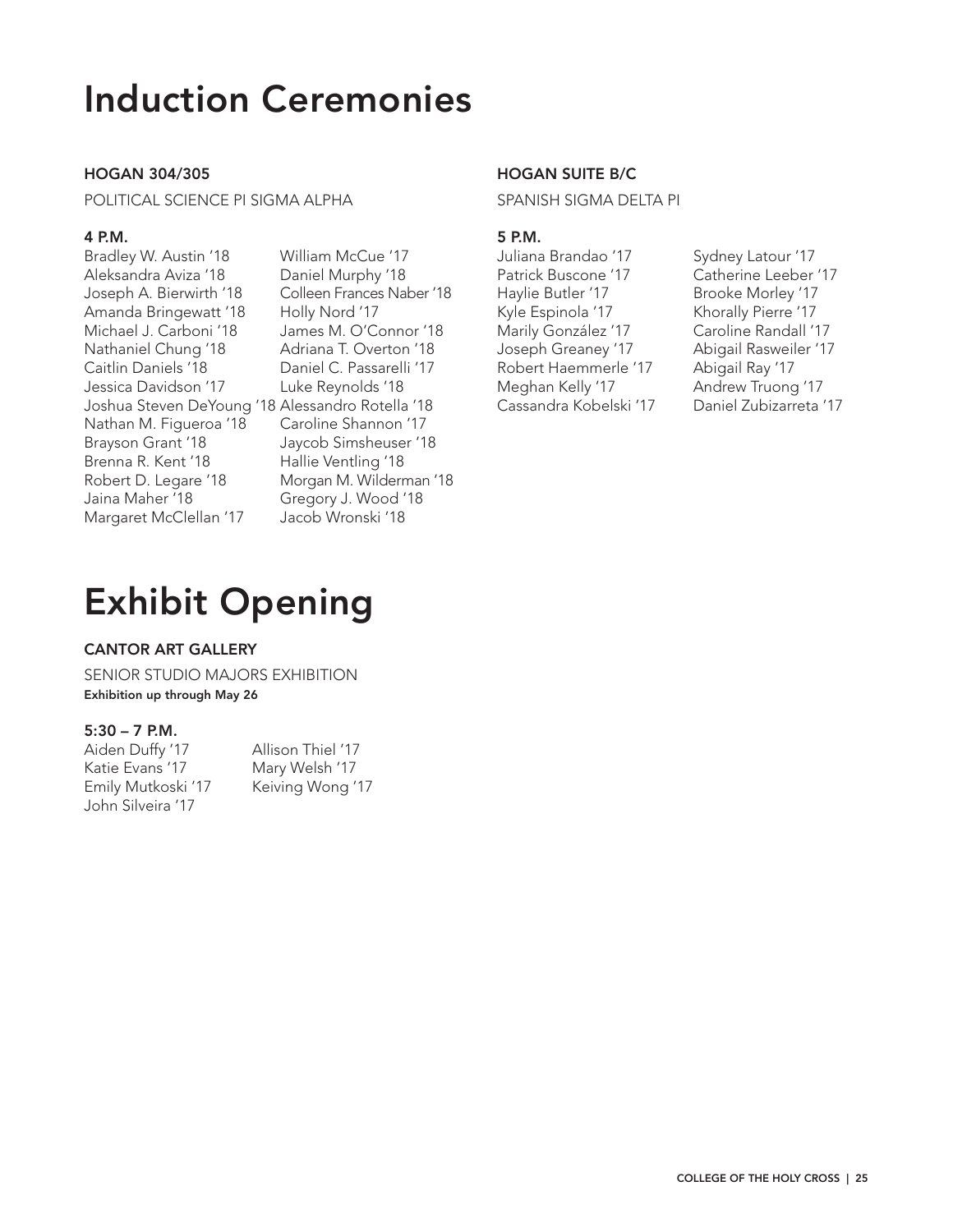# Induction Ceremonies

## HOGAN 304/305

POLITICAL SCIENCE PI SIGMA ALPHA

#### 4 P.M.

Bradley W. Austin '18 William McCue '17 Aleksandra Aviza '18 Daniel Murphy '18 Joseph A. Bierwirth '18 Colleen Frances Naber '18 Amanda Bringewatt '18 Holly Nord '17 Michael J. Carboni '18 James M. O'Connor '18 Nathaniel Chung '18 Adriana T. Overton '18 Caitlin Daniels '18 Daniel C. Passarelli '17 Jessica Davidson '17 Luke Reynolds '18 Joshua Steven DeYoung '18 Alessandro Rotella '18 Nathan M. Figueroa '18 Caroline Shannon '17 Brayson Grant '18 Jaycob Simsheuser '18 Brenna R. Kent '18 Hallie Ventling '18 Robert D. Legare '18 Morgan M. Wilderman '18 Jaina Maher '18 Gregory J. Wood '18 Margaret McClellan '17 Jacob Wronski '18

## HOGAN SUITE B/C

SPANISH SIGMA DELTA PI

#### 5 P.M.

Juliana Brandao '17 Sydney Latour '17 Patrick Buscone '17 Catherine Leeber '17 Haylie Butler '17 Brooke Morley '17 Kyle Espinola '17 Khorally Pierre '17 Marily González '17 Caroline Randall '17 Joseph Greaney '17 Abigail Rasweiler '17 Robert Haemmerle '17 Abigail Ray '17 Meghan Kelly '17 Andrew Truong '17 Cassandra Kobelski '17 Daniel Zubizarreta '17

# Exhibit Opening

## CANTOR ART GALLERY

SENIOR STUDIO MAJORS EXHIBITION Exhibition up through May 26

## 5:30 – 7 P.M.

| Aiden Duffy '17    | Allison Thiel '17 |
|--------------------|-------------------|
| Katie Evans '17    | Mary Welsh '17    |
| Emily Mutkoski '17 | Keiving Wong '17  |
| John Silveira '17  |                   |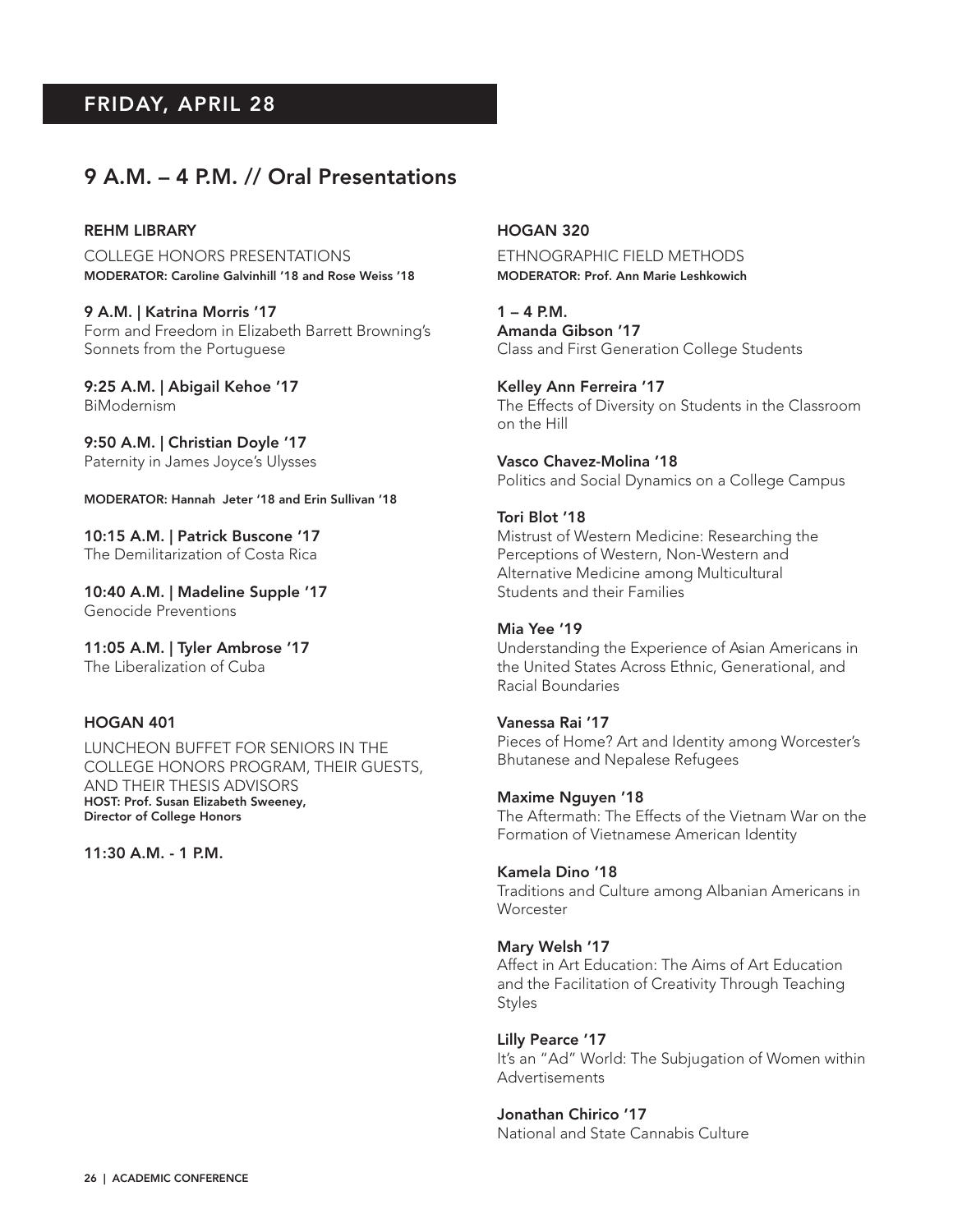# FRIDAY, APRIL 28

# 9 A.M. – 4 P.M. // Oral Presentations

#### REHM LIBRARY

COLLEGE HONORS PRESENTATIONS MODERATOR: Caroline Galvinhill '18 and Rose Weiss '18

9 A.M. | Katrina Morris '17 Form and Freedom in Elizabeth Barrett Browning's Sonnets from the Portuguese

9:25 A.M. | Abigail Kehoe '17 BiModernism

9:50 A.M. | Christian Doyle '17 Paternity in James Joyce's Ulysses

MODERATOR: Hannah Jeter '18 and Erin Sullivan '18

10:15 A.M. | Patrick Buscone '17 The Demilitarization of Costa Rica

10:40 A.M. | Madeline Supple '17 Genocide Preventions

11:05 A.M. | Tyler Ambrose '17 The Liberalization of Cuba

#### HOGAN 401

LUNCHEON BUFFET FOR SENIORS IN THE COLLEGE HONORS PROGRAM, THEIR GUESTS, AND THEIR THESIS ADVISORS HOST: Prof. Susan Elizabeth Sweeney, Director of College Honors

11:30 A.M. - 1 P.M.

#### HOGAN 320

ETHNOGRAPHIC FIELD METHODS MODERATOR: Prof. Ann Marie Leshkowich

 $1 - 4$  P.M. Amanda Gibson '17 Class and First Generation College Students

Kelley Ann Ferreira '17 The Effects of Diversity on Students in the Classroom on the Hill

Vasco Chavez-Molina '18 Politics and Social Dynamics on a College Campus

Tori Blot '18 Mistrust of Western Medicine: Researching the Perceptions of Western, Non-Western and Alternative Medicine among Multicultural Students and their Families

# Mia Yee '19

Understanding the Experience of Asian Americans in the United States Across Ethnic, Generational, and Racial Boundaries

#### Vanessa Rai '17

Pieces of Home? Art and Identity among Worcester's Bhutanese and Nepalese Refugees

Maxime Nguyen '18

The Aftermath: The Effects of the Vietnam War on the Formation of Vietnamese American Identity

#### Kamela Dino '18

Traditions and Culture among Albanian Americans in **Worcester** 

#### Mary Welsh '17

Affect in Art Education: The Aims of Art Education and the Facilitation of Creativity Through Teaching **Styles** 

#### Lilly Pearce '17

It's an "Ad" World: The Subjugation of Women within Advertisements

## Jonathan Chirico '17

National and State Cannabis Culture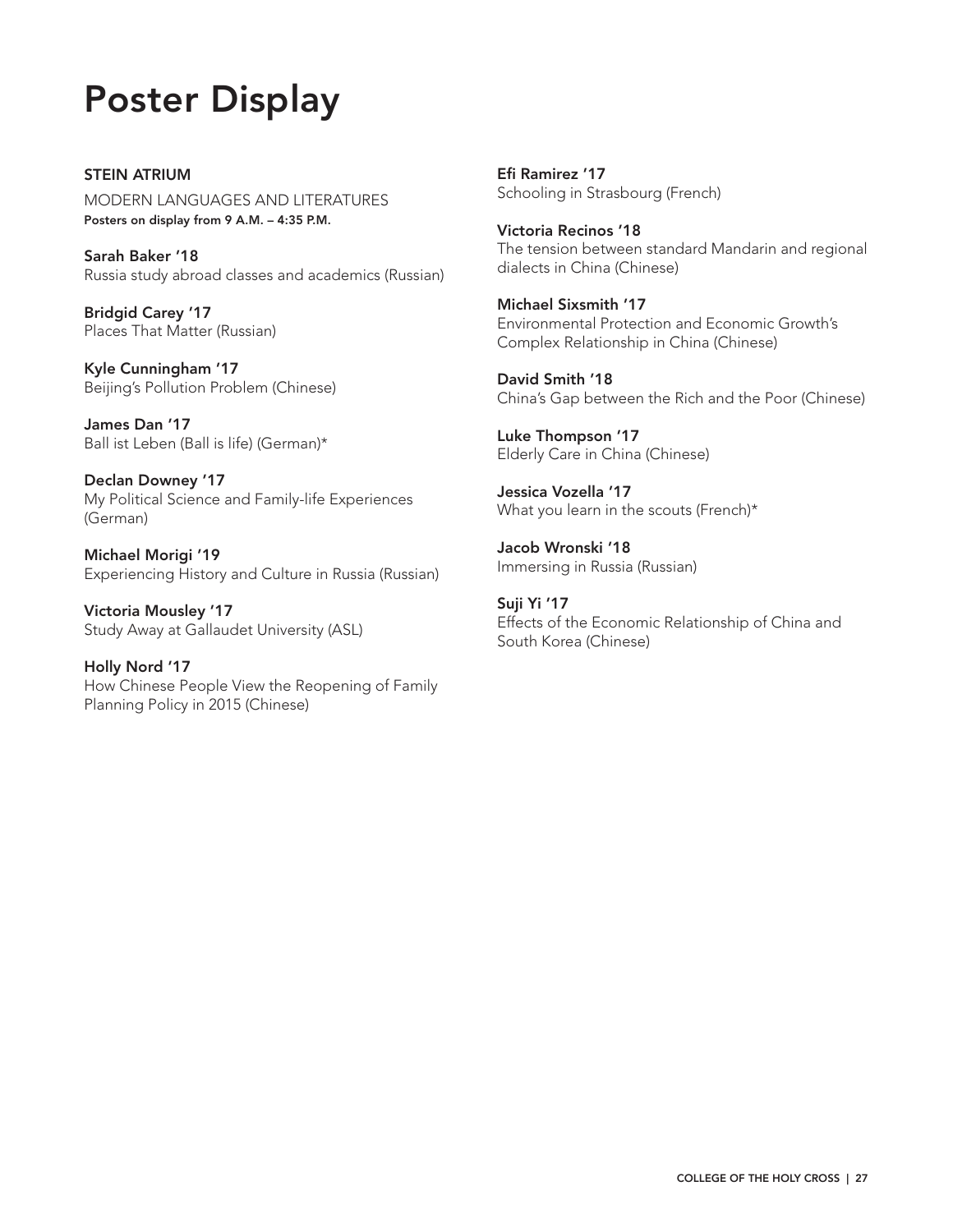# Poster Display

STEIN ATRIUM MODERN LANGUAGES AND LITERATURES Posters on display from 9 A.M. – 4:35 P.M.

Sarah Baker '18 Russia study abroad classes and academics (Russian)

Bridgid Carey '17 Places That Matter (Russian)

Kyle Cunningham '17 Beijing's Pollution Problem (Chinese)

James Dan '17 Ball ist Leben (Ball is life) (German)\*

Declan Downey '17 My Political Science and Family-life Experiences (German)

Michael Morigi '19 Experiencing History and Culture in Russia (Russian)

Victoria Mousley '17 Study Away at Gallaudet University (ASL)

Holly Nord '17 How Chinese People View the Reopening of Family Planning Policy in 2015 (Chinese)

Efi Ramirez '17 Schooling in Strasbourg (French)

Victoria Recinos '18 The tension between standard Mandarin and regional dialects in China (Chinese)

Michael Sixsmith '17 Environmental Protection and Economic Growth's Complex Relationship in China (Chinese)

David Smith '18 China's Gap between the Rich and the Poor (Chinese)

Luke Thompson '17 Elderly Care in China (Chinese)

Jessica Vozella '17 What you learn in the scouts (French)\*

Jacob Wronski '18 Immersing in Russia (Russian)

Suji Yi '17 Effects of the Economic Relationship of China and South Korea (Chinese)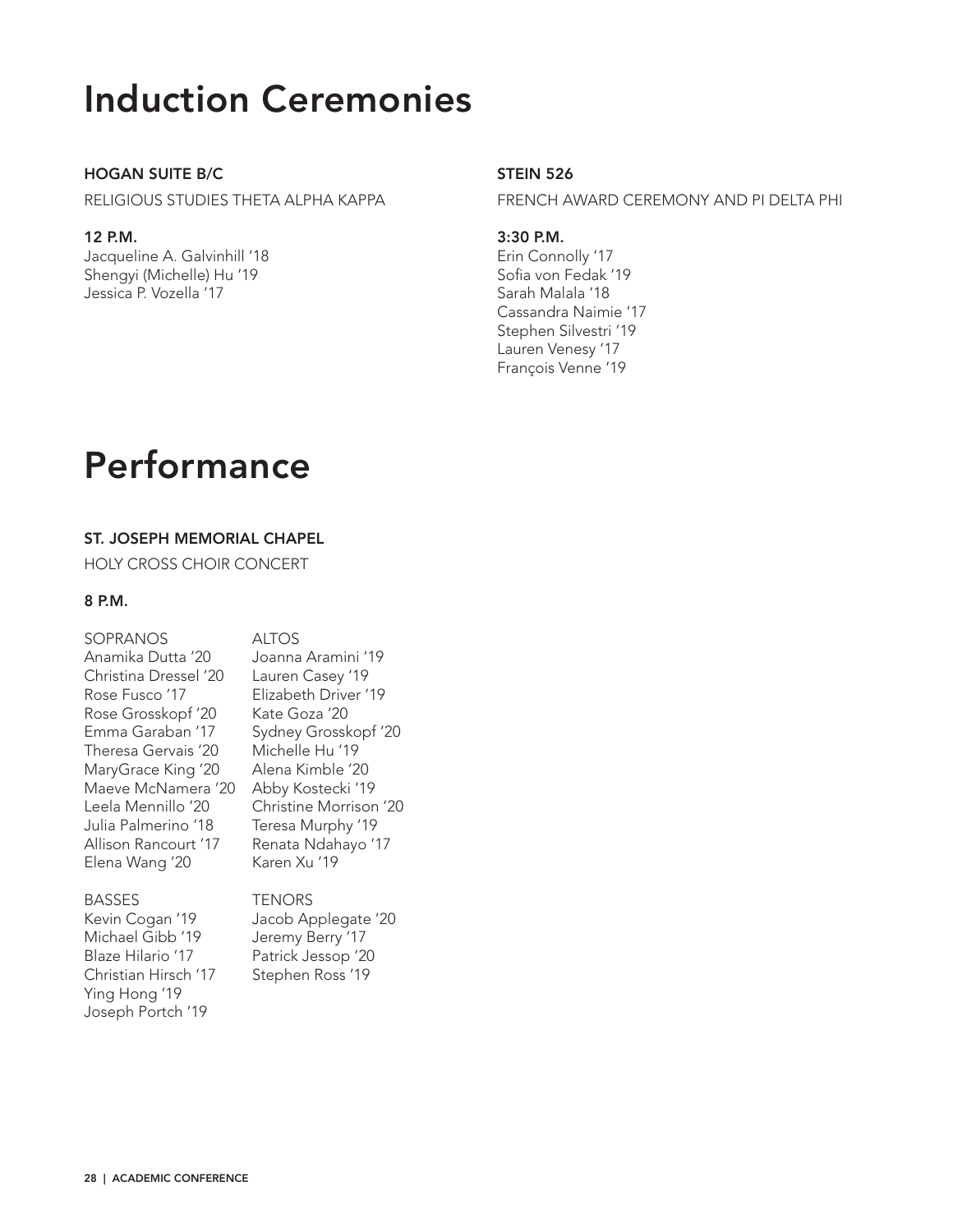# Induction Ceremonies

## HOGAN SUITE B/C

RELIGIOUS STUDIES THETA ALPHA KAPPA

## 12 P.M.

Jacqueline A. Galvinhill '18 Shengyi (Michelle) Hu '19 Jessica P. Vozella '17

# **STEIN 526**

FRENCH AWARD CEREMONY AND PI DELTA PHI

3:30 P.M.

Erin Connolly '17 Sofia von Fedak '19 Sarah Malala '18 Cassandra Naimie '17 Stephen Silvestri '19 Lauren Venesy '17 François Venne '19

# Performance

# ST. JOSEPH MEMORIAL CHAPEL

HOLY CROSS CHOIR CONCERT

## 8 P.M.

| <b>SOPRANOS</b>       | <b>ALTOS</b>           |
|-----------------------|------------------------|
| Anamika Dutta '20     | Joanna Aramini '19     |
| Christina Dressel '20 | Lauren Casey '19       |
| Rose Fusco '17        | Elizabeth Driver '19   |
| Rose Grosskopf '20    | Kate Goza '20          |
| Fmma Garaban '17      | Sydney Grosskopf '20   |
| Theresa Gervais '20   | Michelle Hu '19        |
| MaryGrace King '20    | Alena Kimble '20       |
| Maeve McNamera '20    | Abby Kostecki '19      |
| Leela Mennillo '20    | Christine Morrison '20 |
| Julia Palmerino '18   | Teresa Murphy '19      |
| Allison Rancourt '17  | Renata Ndahayo '17     |
| Elena Wang '20        | Karen Xu '19           |
| <b>BASSES</b>         | <b>TENORS</b>          |
| Kevin Cogan '19       | Jacob Applegate '20    |
| Michael Gibb '19      | Jeremy Berry '17       |
|                       |                        |

Blaze Hilario '17 Patrick Jessop '20 Christian Hirsch '17 Stephen Ross '19 Ying Hong '19 Joseph Portch '19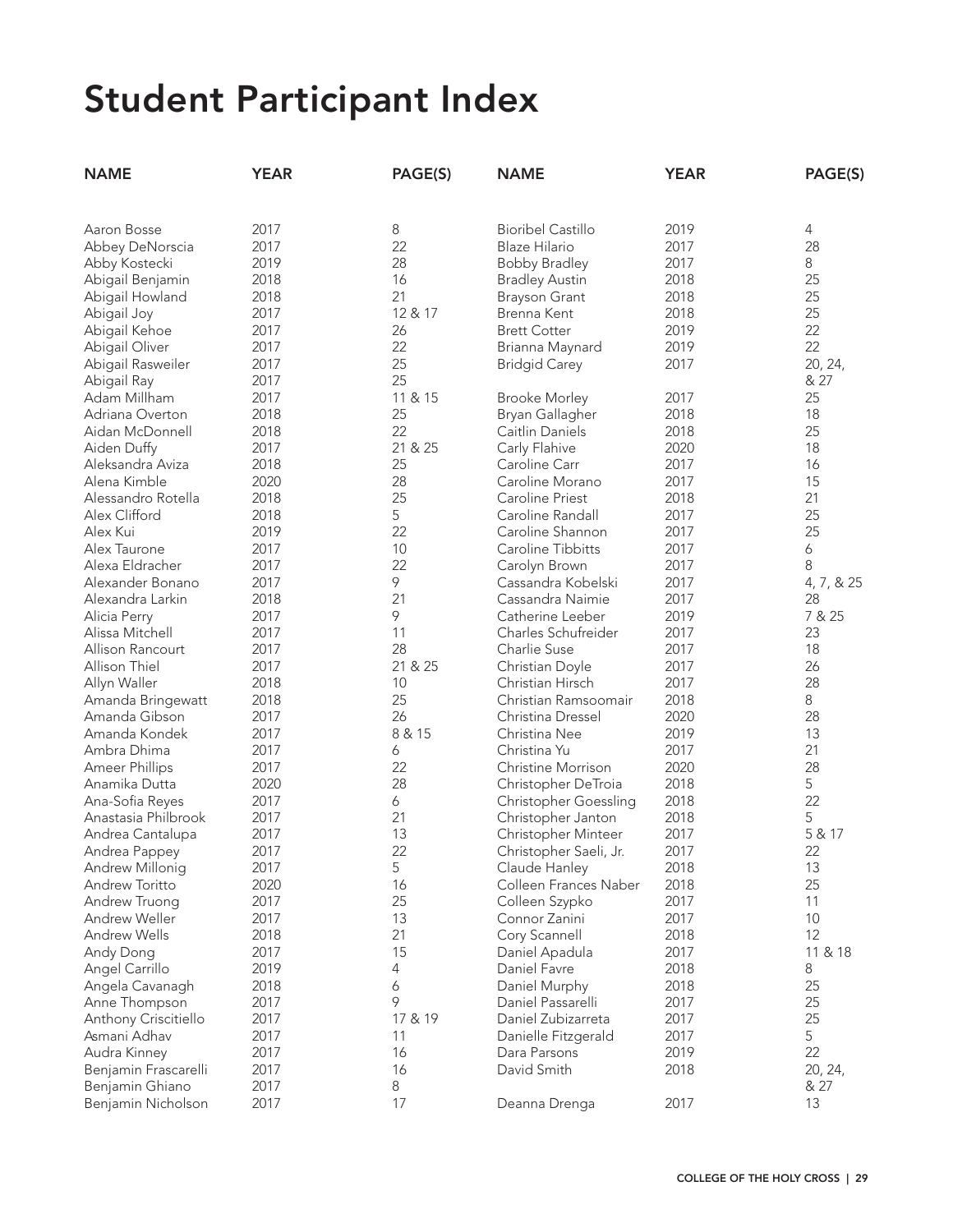| <b>NAME</b>          | <b>YEAR</b> | PAGE(S) | <b>NAME</b>                  | <b>YEAR</b> | PAGE(S)    |
|----------------------|-------------|---------|------------------------------|-------------|------------|
|                      |             |         |                              |             |            |
| Aaron Bosse          | 2017        | 8       | <b>Bioribel Castillo</b>     | 2019        | 4          |
| Abbey DeNorscia      | 2017        | 22      | Blaze Hilario                | 2017        | 28         |
| Abby Kostecki        | 2019        | 28      | <b>Bobby Bradley</b>         | 2017        | 8          |
| Abigail Benjamin     | 2018        | 16      | <b>Bradley Austin</b>        | 2018        | 25         |
| Abigail Howland      | 2018        | 21      | <b>Brayson Grant</b>         | 2018        | 25         |
| Abigail Joy          | 2017        | 12 & 17 | Brenna Kent                  | 2018        | 25         |
| Abigail Kehoe        | 2017        | 26      | <b>Brett Cotter</b>          | 2019        | 22         |
| Abigail Oliver       | 2017        | 22      | Brianna Maynard              | 2019        | 22         |
| Abigail Rasweiler    | 2017        | 25      | <b>Bridgid Carey</b>         | 2017        | 20, 24,    |
| Abigail Ray          | 2017        | 25      |                              |             | & 27       |
| Adam Millham         | 2017        | 11 & 15 | <b>Brooke Morley</b>         | 2017        | 25         |
| Adriana Overton      | 2018        | 25      | Bryan Gallagher              | 2018        | 18         |
| Aidan McDonnell      | 2018        | 22      | Caitlin Daniels              | 2018        | 25         |
| Aiden Duffy          | 2017        | 21 & 25 | Carly Flahive                | 2020        | 18         |
| Aleksandra Aviza     | 2018        | 25      | Caroline Carr                | 2017        | 16         |
| Alena Kimble         | 2020        | 28      | Caroline Morano              | 2017        | 15         |
| Alessandro Rotella   | 2018        | 25      | Caroline Priest              | 2018        | 21         |
| Alex Clifford        | 2018        | 5       | Caroline Randall             | 2017        | 25         |
| Alex Kui             | 2019        | 22      | Caroline Shannon             | 2017        | 25         |
| Alex Taurone         | 2017        | 10      | Caroline Tibbitts            | 2017        | 6          |
| Alexa Eldracher      | 2017        | 22      | Carolyn Brown                | 2017        | 8          |
| Alexander Bonano     | 2017        | 9       | Cassandra Kobelski           | 2017        | 4, 7, & 25 |
| Alexandra Larkin     | 2018        | 21      | Cassandra Naimie             | 2017        | 28         |
| Alicia Perry         | 2017        | 9       | Catherine Leeber             | 2019        | 7 & 25     |
| Alissa Mitchell      | 2017        | 11      | Charles Schufreider          | 2017        | 23         |
| Allison Rancourt     | 2017        | 28      | Charlie Suse                 | 2017        | 18         |
| Allison Thiel        | 2017        | 21 & 25 | Christian Doyle              | 2017        | 26         |
| Allyn Waller         | 2018        | 10      | Christian Hirsch             | 2017        | 28         |
| Amanda Bringewatt    | 2018        | 25      | Christian Ramsoomair         | 2018        | 8          |
| Amanda Gibson        | 2017        | 26      | Christina Dressel            | 2020        | 28         |
| Amanda Kondek        | 2017        | 8 & 15  | Christina Nee                | 2019        | 13         |
| Ambra Dhima          | 2017        | 6       | Christina Yu                 | 2017        | 21         |
| Ameer Phillips       | 2017        | 22      | <b>Christine Morrison</b>    | 2020        | 28         |
| Anamika Dutta        | 2020        | 28      | Christopher DeTroia          | 2018        | 5          |
| Ana-Sofia Reyes      | 2017        | 6       | <b>Christopher Goessling</b> | 2018        | 22         |
| Anastasia Philbrook  | 2017        | 21      | Christopher Janton           | 2018        | 5          |
| Andrea Cantalupa     | 2017        | 13      | Christopher Minteer          | 2017        | 5 & 17     |
| Andrea Pappey        | 2017        | 22      | Christopher Saeli, Jr.       | 2017        | 22         |
| Andrew Millonig      | 2017        | 5       | Claude Hanley                | 2018        | 13         |
| Andrew Toritto       | 2020        | 16      | Colleen Frances Naber        | 2018        | 25         |
| Andrew Truong        | 2017        | 25      | Colleen Szypko               | 2017        | 11         |
| Andrew Weller        | 2017        | 13      | Connor Zanini                | 2017        | 10         |
| <b>Andrew Wells</b>  | 2018        | 21      | Cory Scannell                | 2018        | 12         |
| Andy Dong            | 2017        | 15      | Daniel Apadula               | 2017        | 11 & 18    |
| Angel Carrillo       | 2019        | 4       | Daniel Favre                 | 2018        | 8          |
| Angela Cavanagh      | 2018        | 6       | Daniel Murphy                | 2018        | 25         |
| Anne Thompson        | 2017        | 9       | Daniel Passarelli            | 2017        | 25         |
| Anthony Criscitiello | 2017        | 17 & 19 | Daniel Zubizarreta           | 2017        | 25         |
| Asmani Adhav         | 2017        | 11      | Danielle Fitzgerald          | 2017        | 5          |
| Audra Kinney         | 2017        | 16      | Dara Parsons                 | 2019        | 22         |
| Benjamin Frascarelli | 2017        | 16      | David Smith                  | 2018        | 20, 24,    |
| Benjamin Ghiano      | 2017        | 8       |                              |             | & 27       |
| Benjamin Nicholson   | 2017        | 17      | Deanna Drenga                | 2017        | 13         |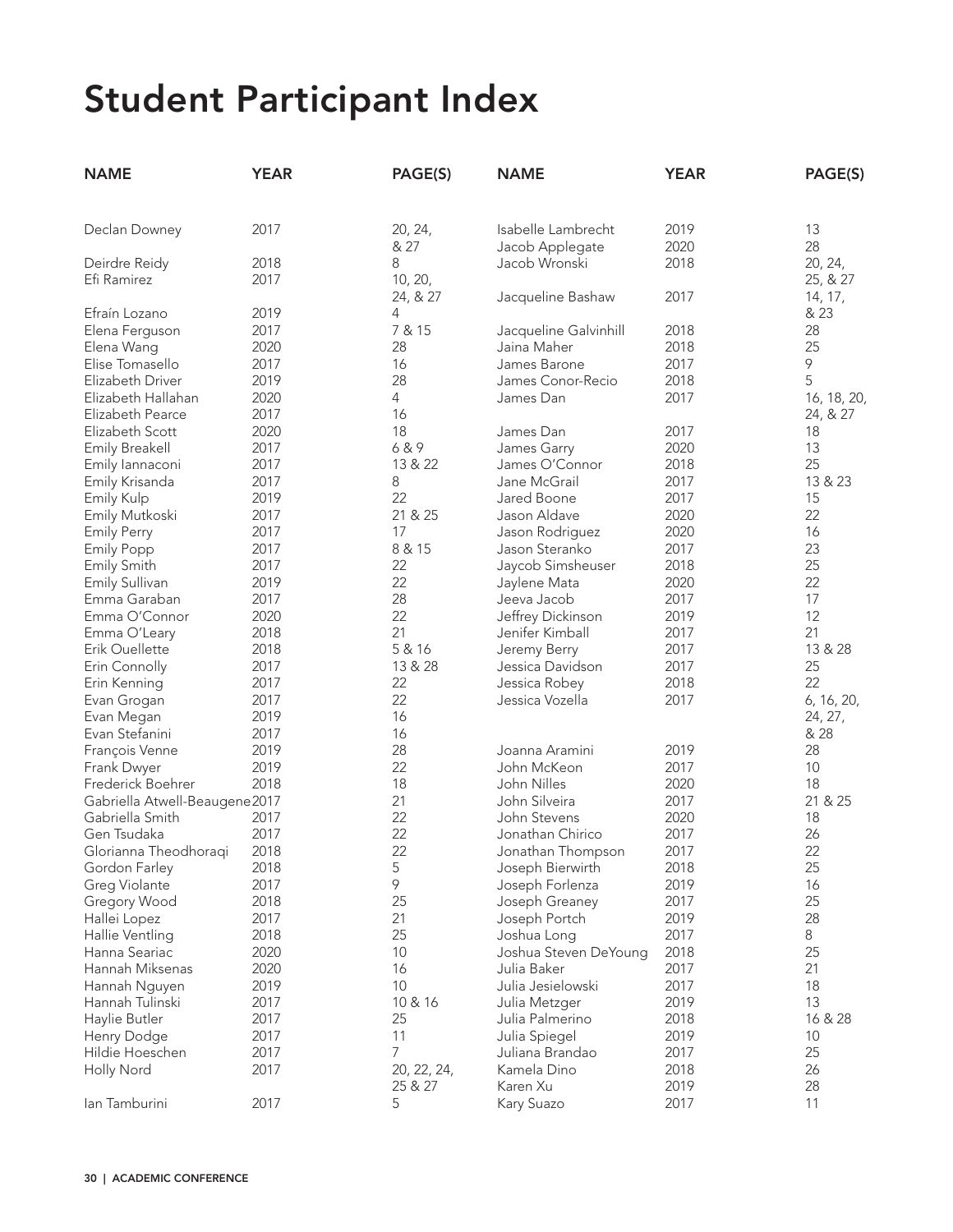| <b>NAME</b>                   | <b>YEAR</b> | PAGE(S)     | <b>NAME</b>           | <b>YEAR</b> | PAGE(S)     |
|-------------------------------|-------------|-------------|-----------------------|-------------|-------------|
|                               |             |             |                       |             |             |
| Declan Downey                 | 2017        | 20, 24,     | Isabelle Lambrecht    | 2019        | 13          |
|                               |             | & 27        | Jacob Applegate       | 2020        | 28          |
| Deirdre Reidy                 | 2018        | 8           | Jacob Wronski         | 2018        | 20, 24,     |
| Efi Ramirez                   | 2017        | 10, 20,     |                       |             | 25, & 27    |
|                               |             | 24, & 27    | Jacqueline Bashaw     | 2017        | 14, 17,     |
| Efraín Lozano                 | 2019        | 4           |                       |             | & 23        |
| Elena Ferguson                | 2017        | 7 & 15      | Jacqueline Galvinhill | 2018        | 28          |
| Elena Wang                    | 2020        | 28          | Jaina Maher           | 2018        | 25          |
| Elise Tomasello               | 2017        | 16          | James Barone          | 2017        | 9           |
| Elizabeth Driver              | 2019        | 28          | James Conor-Recio     | 2018        | 5           |
| Elizabeth Hallahan            | 2020        | 4           | James Dan             | 2017        | 16, 18, 20, |
| Elizabeth Pearce              | 2017        | 16          |                       |             | 24, & 27    |
| Elizabeth Scott               | 2020        | 18          | James Dan             | 2017        | 18          |
| <b>Emily Breakell</b>         | 2017        | 6&9         | James Garry           | 2020        | 13          |
| Emily lannaconi               | 2017        | 13 & 22     | James O'Connor        | 2018        | 25          |
| Emily Krisanda                | 2017        | 8           | Jane McGrail          | 2017        | 13 & 23     |
| Emily Kulp                    | 2019        | 22          | Jared Boone           | 2017        | 15          |
| Emily Mutkoski                | 2017        | 21 & 25     | Jason Aldave          | 2020        | 22          |
| <b>Emily Perry</b>            | 2017        | 17          | Jason Rodriguez       | 2020        | 16          |
| <b>Emily Popp</b>             | 2017        | 8 & 15      | Jason Steranko        | 2017        | 23          |
| Emily Smith                   | 2017        | 22          | Jaycob Simsheuser     | 2018        | 25          |
| Emily Sullivan                | 2019        | 22          | Jaylene Mata          | 2020        | 22          |
| Emma Garaban                  | 2017        | 28          | Jeeva Jacob           | 2017        | 17          |
| Emma O'Connor                 | 2020        | 22          | Jeffrey Dickinson     | 2019        | 12          |
| Emma O'Leary                  | 2018        | 21          | Jenifer Kimball       | 2017        | 21          |
| Erik Ouellette                | 2018        | 5 & 16      | Jeremy Berry          | 2017        | 13 & 28     |
| Erin Connolly                 | 2017        | 13 & 28     | Jessica Davidson      | 2017        | 25          |
| Erin Kenning                  | 2017        | 22          | Jessica Robey         | 2018        | 22          |
| Evan Grogan                   | 2017        | 22          | Jessica Vozella       | 2017        | 6, 16, 20,  |
| Evan Megan                    | 2019        | 16          |                       |             | 24, 27,     |
| Evan Stefanini                | 2017        | 16          |                       |             | & 28        |
| François Venne                | 2019        | 28          | Joanna Aramini        | 2019        | 28          |
| Frank Dwyer                   | 2019        | 22          | John McKeon           | 2017        | 10          |
| Frederick Boehrer             | 2018        | 18          | John Nilles           | 2020        | 18          |
| Gabriella Atwell-Beaugene2017 |             | 21          | John Silveira         | 2017        | 21 & 25     |
| Gabriella Smith               | 2017        | 22          | John Stevens          | 2020        | 18          |
| Gen Tsudaka                   | 2017        | 22          | Jonathan Chirico      | 2017        | 26          |
| Glorianna Theodhoragi         | 2018        | 22          | Jonathan Thompson     | 2017        | 22          |
| Gordon Farley                 | 2018        | 5           | Joseph Bierwirth      | 2018        | 25          |
| Greg Violante                 | 2017        | 9           | Joseph Forlenza       | 2019        | 16          |
| Gregory Wood                  | 2018        | 25          | Joseph Greaney        | 2017        | 25          |
| Hallei Lopez                  | 2017        | 21          | Joseph Portch         | 2019        | 28          |
| Hallie Ventling               | 2018        | 25          | Joshua Long           | 2017        | 8           |
| Hanna Seariac                 | 2020        | 10          | Joshua Steven DeYoung | 2018        | 25          |
| Hannah Miksenas               | 2020        | 16          | Julia Baker           | 2017        | 21          |
| Hannah Nguyen                 | 2019        | 10          | Julia Jesielowski     | 2017        | 18          |
| Hannah Tulinski               | 2017        | 10 & 16     | Julia Metzger         | 2019        | 13          |
| Haylie Butler                 | 2017        | 25          | Julia Palmerino       | 2018        | 16 & 28     |
| Henry Dodge                   | 2017        | 11          | Julia Spiegel         | 2019        | 10          |
| Hildie Hoeschen               | 2017        | 7           | Juliana Brandao       | 2017        | 25          |
| Holly Nord                    | 2017        | 20, 22, 24, | Kamela Dino           | 2018        | 26          |
|                               |             | 25 & 27     | Karen Xu              | 2019        | 28          |
| lan Tamburini                 | 2017        | 5           | Kary Suazo            | 2017        | 11          |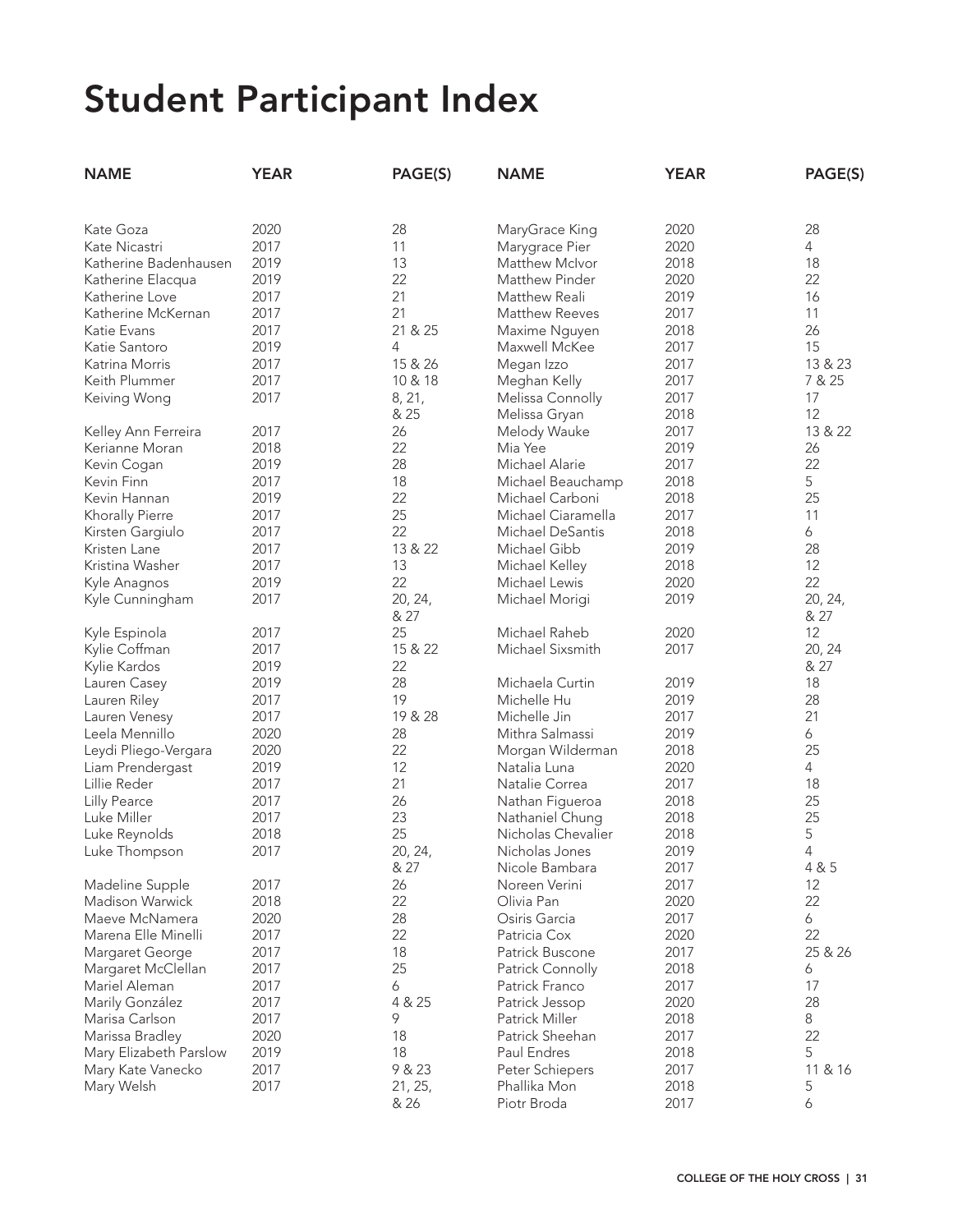| <b>NAME</b>            | <b>YEAR</b> | PAGE(S) | <b>NAME</b>           | <b>YEAR</b> | PAGE(S)        |
|------------------------|-------------|---------|-----------------------|-------------|----------------|
|                        |             |         |                       |             |                |
| Kate Goza              | 2020        | 28      | MaryGrace King        | 2020        | 28             |
| Kate Nicastri          | 2017        | 11      | Marygrace Pier        | 2020        | 4              |
| Katherine Badenhausen  | 2019        | 13      | Matthew McIvor        | 2018        | 18             |
| Katherine Elacqua      | 2019        | 22      | Matthew Pinder        | 2020        | 22             |
| Katherine Love         | 2017        | 21      | Matthew Reali         | 2019        | 16             |
| Katherine McKernan     | 2017        | 21      | <b>Matthew Reeves</b> | 2017        | 11             |
| Katie Evans            | 2017        | 21 & 25 | Maxime Nguyen         | 2018        | 26             |
| Katie Santoro          | 2019        | 4       | Maxwell McKee         | 2017        | 15             |
| Katrina Morris         | 2017        | 15 & 26 | Megan Izzo            | 2017        | 13 & 23        |
| Keith Plummer          | 2017        | 10 & 18 | Meghan Kelly          | 2017        | 7 & 25         |
| Keiving Wong           | 2017        | 8, 21,  | Melissa Connolly      | 2017        | 17             |
|                        |             | & 25    | Melissa Gryan         | 2018        | 12             |
| Kelley Ann Ferreira    | 2017        | 26      | Melody Wauke          | 2017        | 13 & 22        |
| Kerianne Moran         | 2018        | 22      | Mia Yee               | 2019        | 26             |
| Kevin Cogan            | 2019        | 28      | Michael Alarie        | 2017        | 22             |
| Kevin Finn             | 2017        | 18      | Michael Beauchamp     | 2018        | 5              |
| Kevin Hannan           | 2019        | 22      | Michael Carboni       | 2018        | 25             |
| Khorally Pierre        | 2017        | 25      | Michael Ciaramella    | 2017        | 11             |
| Kirsten Gargiulo       | 2017        | 22      | Michael DeSantis      | 2018        | 6              |
| Kristen Lane           | 2017        | 13 & 22 | Michael Gibb          | 2019        | 28             |
| Kristina Washer        | 2017        | 13      | Michael Kelley        | 2018        | 12             |
| Kyle Anagnos           | 2019        | 22      | Michael Lewis         | 2020        | 22             |
| Kyle Cunningham        | 2017        | 20, 24, | Michael Morigi        | 2019        | 20, 24,        |
|                        |             | & 27    |                       |             | & 27           |
| Kyle Espinola          | 2017        | 25      | Michael Raheb         | 2020        | 12             |
| Kylie Coffman          | 2017        | 15 & 22 | Michael Sixsmith      | 2017        | 20, 24         |
| Kylie Kardos           | 2019        | 22      |                       |             | & 27           |
| Lauren Casey           | 2019        | 28      | Michaela Curtin       | 2019        | 18             |
| Lauren Riley           | 2017        | 19      | Michelle Hu           | 2019        | 28             |
| Lauren Venesy          | 2017        | 19 & 28 | Michelle Jin          | 2017        | 21             |
| Leela Mennillo         | 2020        | 28      | Mithra Salmassi       | 2019        | 6              |
| Leydi Pliego-Vergara   | 2020        | 22      | Morgan Wilderman      | 2018        | 25             |
| Liam Prendergast       | 2019        | 12      | Natalia Luna          | 2020        | $\overline{4}$ |
| Lillie Reder           | 2017        | 21      | Natalie Correa        | 2017        | 18             |
| <b>Lilly Pearce</b>    | 2017        | 26      | Nathan Figueroa       | 2018        | 25             |
| Luke Miller            | 2017        | 23      | Nathaniel Chung       | 2018        | 25             |
| Luke Reynolds          | 2018        | 25      | Nicholas Chevalier    | 2018        | 5              |
| Luke Thompson          | 2017        | 20, 24, | Nicholas Jones        | 2019        | 4              |
|                        |             | & 27    | Nicole Bambara        | 2017        | 4 & 5          |
| Madeline Supple        | 2017        | 26      | Noreen Verini         | 2017        | 12             |
| Madison Warwick        | 2018        | 22      | Olivia Pan            | 2020        | 22             |
| Maeve McNamera         | 2020        | 28      | Osiris Garcia         | 2017        | 6              |
| Marena Elle Minelli    | 2017        | 22      | Patricia Cox          | 2020        | 22             |
| Margaret George        | 2017        | 18      | Patrick Buscone       | 2017        | 25 & 26        |
| Margaret McClellan     | 2017        | 25      | Patrick Connolly      | 2018        | 6              |
| Mariel Aleman          | 2017        | 6       | Patrick Franco        | 2017        | 17             |
| Marily González        | 2017        | 4 & 25  | Patrick Jessop        | 2020        | 28             |
| Marisa Carlson         | 2017        | 9       | Patrick Miller        | 2018        | 8              |
| Marissa Bradley        | 2020        | 18      | Patrick Sheehan       | 2017        | 22             |
| Mary Elizabeth Parslow | 2019        | 18      | Paul Endres           | 2018        | 5              |
| Mary Kate Vanecko      | 2017        | 9 & 23  | Peter Schiepers       | 2017        | 11 & 16        |
| Mary Welsh             | 2017        | 21, 25, | Phallika Mon          | 2018        | 5              |
|                        |             | & 26    | Piotr Broda           | 2017        | 6              |